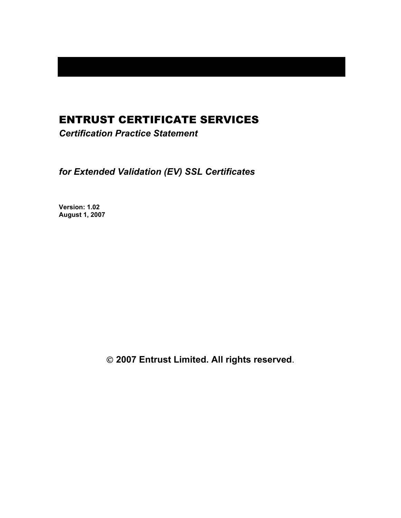# ENTRUST CERTIFICATE SERVICES

*Certification Practice Statement* 

*for Extended Validation (EV) SSL Certificates* 

**Version: 1.02 August 1, 2007** 

 **2007 Entrust Limited. All rights reserved**.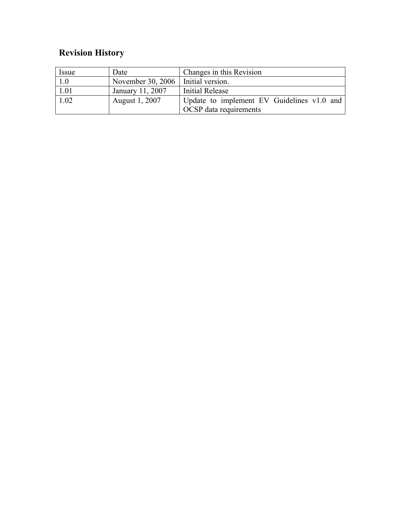# **Revision History**

| Issue | Date                                 | Changes in this Revision                   |
|-------|--------------------------------------|--------------------------------------------|
| 1.0   | November 30, 2006   Initial version. |                                            |
| 1.01  | January 11, 2007                     | Initial Release                            |
| 1.02  | August 1, 2007                       | Update to implement EV Guidelines v1.0 and |
|       |                                      | OCSP data requirements                     |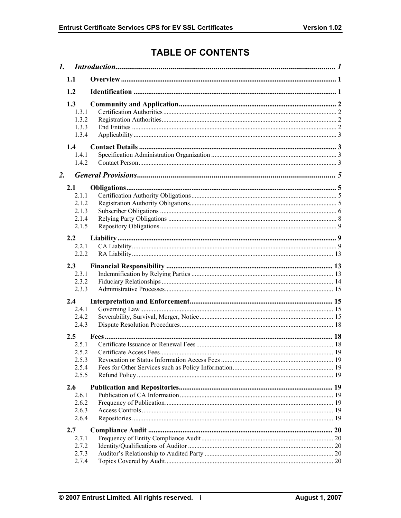# **TABLE OF CONTENTS**

|    | 1.1                                              |  |  |
|----|--------------------------------------------------|--|--|
|    | 1.2                                              |  |  |
|    | 1.3<br>1.3.1<br>1.3.2<br>1.3.3<br>1.3.4          |  |  |
|    | 1.4<br>1.4.1<br>1.4.2                            |  |  |
| 2. |                                                  |  |  |
|    | 2.1<br>2.1.1<br>2.1.2<br>2.1.3<br>2.1.4<br>2.1.5 |  |  |
|    | 2.2                                              |  |  |
|    | 2.2.1                                            |  |  |
|    | 2.2.2                                            |  |  |
|    | 2.3                                              |  |  |
|    | 2.3.1<br>2.3.2                                   |  |  |
|    | 2.3.3                                            |  |  |
|    | 2.4                                              |  |  |
|    | 2.4.1                                            |  |  |
|    | 2.4.2                                            |  |  |
|    | 2.4.3                                            |  |  |
|    | $2.5^{\circ}$                                    |  |  |
|    | 2.5.1                                            |  |  |
|    | 2.5.2<br>2.5.3                                   |  |  |
|    | 2.5.4                                            |  |  |
|    | 2.5.5                                            |  |  |
|    | 2.6                                              |  |  |
|    | 2.6.1                                            |  |  |
|    | 2.6.2                                            |  |  |
|    | 2.6.3                                            |  |  |
|    | 2.6.4                                            |  |  |
|    | 2.7                                              |  |  |
|    | 2.7.1                                            |  |  |
|    | 2.7.2                                            |  |  |
|    | 2.7.3<br>2.7.4                                   |  |  |
|    |                                                  |  |  |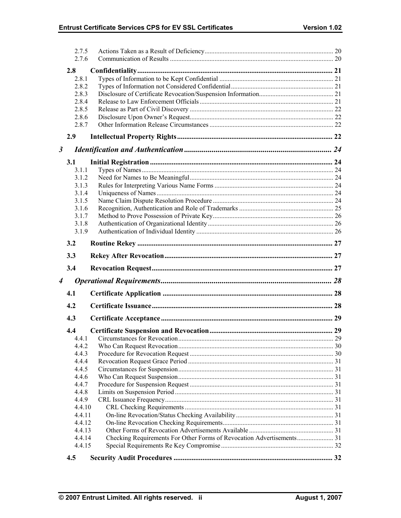|                      | 2.7.5<br>2.7.6 |  |
|----------------------|----------------|--|
|                      |                |  |
|                      | 2.8            |  |
|                      | 2.8.1          |  |
|                      | 2.8.2<br>2.8.3 |  |
|                      | 2.8.4          |  |
|                      | 2.8.5          |  |
|                      | 2.8.6          |  |
|                      | 2.8.7          |  |
|                      | 2.9            |  |
|                      |                |  |
| $\boldsymbol{\beta}$ |                |  |
|                      | 3.1            |  |
|                      | 3.1.1          |  |
|                      | 3.1.2          |  |
|                      | 3.1.3          |  |
|                      | 3.1.4          |  |
|                      | 3.1.5          |  |
|                      | 3.1.6          |  |
|                      | 3.1.7          |  |
|                      | 3.1.8          |  |
|                      | 3.1.9          |  |
|                      | 3.2            |  |
|                      | 3.3            |  |
|                      | 3.4            |  |
| $\boldsymbol{4}$     |                |  |
|                      | 4.1            |  |
|                      | 4.2            |  |
|                      | 4.3            |  |
|                      |                |  |
|                      | 4.4            |  |
|                      | 4.4.1          |  |
|                      | 4.4.2          |  |
|                      | 4.4.3          |  |
|                      | 4.4.4          |  |
|                      | 4.4.5          |  |
|                      | 4.4.6          |  |
|                      | 4.4.7          |  |
|                      |                |  |
|                      | 4.4.8          |  |
|                      | 4.4.9          |  |
|                      | 4.4.10         |  |
|                      | 4.4.11         |  |
|                      | 4.4.12         |  |
|                      | 4.4.13         |  |
|                      | 4.4.14         |  |
|                      | 4.4.15         |  |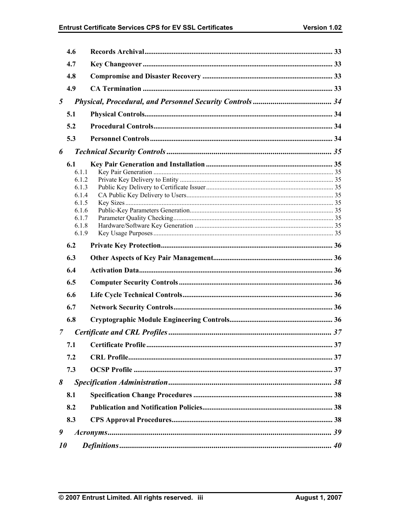|   | 4.6                                                                                  |  |
|---|--------------------------------------------------------------------------------------|--|
|   | 4.7                                                                                  |  |
|   | 4.8                                                                                  |  |
|   | 4.9                                                                                  |  |
| 5 |                                                                                      |  |
|   | 5.1                                                                                  |  |
|   | 5.2                                                                                  |  |
|   | 5.3                                                                                  |  |
| 6 |                                                                                      |  |
|   | 6.1<br>6.1.1<br>6 1 2<br>6.1.3<br>6.1.4<br>6.1.5<br>6.1.6<br>6.1.7<br>6.1.8<br>6.1.9 |  |
|   | 6.2                                                                                  |  |
|   |                                                                                      |  |
|   | 6.3                                                                                  |  |
|   | 6.4                                                                                  |  |
|   | 6.5                                                                                  |  |
|   | 6.6                                                                                  |  |
|   | 6.7                                                                                  |  |
|   | 6.8                                                                                  |  |
| 7 |                                                                                      |  |
|   | 7.1                                                                                  |  |
|   | 7.2                                                                                  |  |
|   | 7.3                                                                                  |  |
| 8 |                                                                                      |  |
|   | 8.1                                                                                  |  |
|   | 8.2                                                                                  |  |
|   | 8.3                                                                                  |  |
| 9 |                                                                                      |  |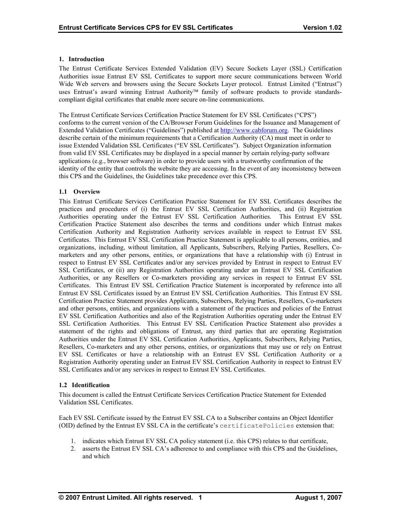## <span id="page-5-0"></span>**1. Introduction**

The Entrust Certificate Services Extended Validation (EV) Secure Sockets Layer (SSL) Certification Authorities issue Entrust EV SSL Certificates to support more secure communications between World Wide Web servers and browsers using the Secure Sockets Layer protocol. Entrust Limited ("Entrust") uses Entrust's award winning Entrust Authority<sup>™</sup> family of software products to provide standardscompliant digital certificates that enable more secure on-line communications.

The Entrust Certificate Services Certification Practice Statement for EV SSL Certificates ("CPS") conforms to the current version of the CA/Browser Forum Guidelines for the Issuance and Management of Extended Validation Certificates ("Guidelines") published at [http://www.cabforum.org](http://www.cabforum.org/). The Guidelines describe certain of the minimum requirements that a Certification Authority (CA) must meet in order to issue Extended Validation SSL Certificates ("EV SSL Certificates"). Subject Organization information from valid EV SSL Certificates may be displayed in a special manner by certain relying-party software applications (e.g., browser software) in order to provide users with a trustworthy confirmation of the identity of the entity that controls the website they are accessing. In the event of any inconsistency between this CPS and the Guidelines, the Guidelines take precedence over this CPS.

# **1.1 Overview**

This Entrust Certificate Services Certification Practice Statement for EV SSL Certificates describes the practices and procedures of (i) the Entrust EV SSL Certification Authorities, and (ii) Registration Authorities operating under the Entrust EV SSL Certification Authorities. This Entrust EV SSL Certification Practice Statement also describes the terms and conditions under which Entrust makes Certification Authority and Registration Authority services available in respect to Entrust EV SSL Certificates. This Entrust EV SSL Certification Practice Statement is applicable to all persons, entities, and organizations, including, without limitation, all Applicants, Subscribers, Relying Parties, Resellers, Comarketers and any other persons, entities, or organizations that have a relationship with (i) Entrust in respect to Entrust EV SSL Certificates and/or any services provided by Entrust in respect to Entrust EV SSL Certificates, or (ii) any Registration Authorities operating under an Entrust EV SSL Certification Authorities, or any Resellers or Co-marketers providing any services in respect to Entrust EV SSL Certificates. This Entrust EV SSL Certification Practice Statement is incorporated by reference into all Entrust EV SSL Certificates issued by an Entrust EV SSL Certification Authorities. This Entrust EV SSL Certification Practice Statement provides Applicants, Subscribers, Relying Parties, Resellers, Co-marketers and other persons, entities, and organizations with a statement of the practices and policies of the Entrust EV SSL Certification Authorities and also of the Registration Authorities operating under the Entrust EV SSL Certification Authorities. This Entrust EV SSL Certification Practice Statement also provides a statement of the rights and obligations of Entrust, any third parties that are operating Registration Authorities under the Entrust EV SSL Certification Authorities, Applicants, Subscribers, Relying Parties, Resellers, Co-marketers and any other persons, entities, or organizations that may use or rely on Entrust EV SSL Certificates or have a relationship with an Entrust EV SSL Certification Authority or a Registration Authority operating under an Entrust EV SSL Certification Authority in respect to Entrust EV SSL Certificates and/or any services in respect to Entrust EV SSL Certificates.

#### **1.2 Identification**

This document is called the Entrust Certificate Services Certification Practice Statement for Extended Validation SSL Certificates.

Each EV SSL Certificate issued by the Entrust EV SSL CA to a Subscriber contains an Object Identifier (OID) defined by the Entrust EV SSL CA in the certificate's certificatePolicies extension that:

- 1. indicates which Entrust EV SSL CA policy statement (i.e. this CPS) relates to that certificate,
- 2. asserts the Entrust EV SSL CA's adherence to and compliance with this CPS and the Guidelines, and which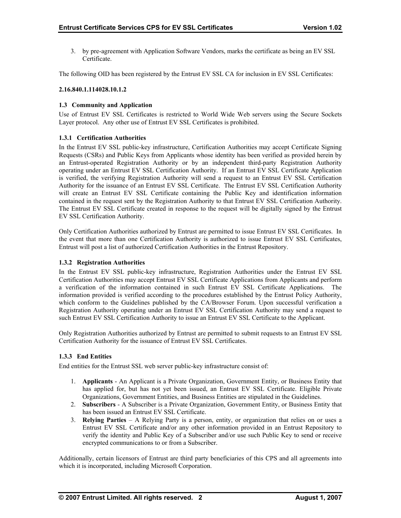<span id="page-6-0"></span>3. by pre-agreement with Application Software Vendors, marks the certificate as being an EV SSL Certificate.

The following OID has been registered by the Entrust EV SSL CA for inclusion in EV SSL Certificates:

## **2.16.840.1.114028.10.1.2**

# **1.3 Community and Application**

Use of Entrust EV SSL Certificates is restricted to World Wide Web servers using the Secure Sockets Layer protocol. Any other use of Entrust EV SSL Certificates is prohibited.

# **1.3.1 Certification Authorities**

In the Entrust EV SSL public-key infrastructure, Certification Authorities may accept Certificate Signing Requests (CSRs) and Public Keys from Applicants whose identity has been verified as provided herein by an Entrust-operated Registration Authority or by an independent third-party Registration Authority operating under an Entrust EV SSL Certification Authority. If an Entrust EV SSL Certificate Application is verified, the verifying Registration Authority will send a request to an Entrust EV SSL Certification Authority for the issuance of an Entrust EV SSL Certificate. The Entrust EV SSL Certification Authority will create an Entrust EV SSL Certificate containing the Public Key and identification information contained in the request sent by the Registration Authority to that Entrust EV SSL Certification Authority. The Entrust EV SSL Certificate created in response to the request will be digitally signed by the Entrust EV SSL Certification Authority.

Only Certification Authorities authorized by Entrust are permitted to issue Entrust EV SSL Certificates. In the event that more than one Certification Authority is authorized to issue Entrust EV SSL Certificates, Entrust will post a list of authorized Certification Authorities in the Entrust Repository.

## **1.3.2 Registration Authorities**

In the Entrust EV SSL public-key infrastructure, Registration Authorities under the Entrust EV SSL Certification Authorities may accept Entrust EV SSL Certificate Applications from Applicants and perform a verification of the information contained in such Entrust EV SSL Certificate Applications. The information provided is verified according to the procedures established by the Entrust Policy Authority, which conform to the Guidelines published by the CA/Browser Forum. Upon successful verification a Registration Authority operating under an Entrust EV SSL Certification Authority may send a request to such Entrust EV SSL Certification Authority to issue an Entrust EV SSL Certificate to the Applicant.

Only Registration Authorities authorized by Entrust are permitted to submit requests to an Entrust EV SSL Certification Authority for the issuance of Entrust EV SSL Certificates.

# **1.3.3 End Entities**

End entities for the Entrust SSL web server public-key infrastructure consist of:

- 1. **Applicants** An Applicant is a Private Organization, Government Entity, or Business Entity that has applied for, but has not yet been issued, an Entrust EV SSL Certificate. Eligible Private Organizations, Government Entities, and Business Entities are stipulated in the Guidelines.
- 2. **Subscribers**  A Subscriber is a Private Organization, Government Entity, or Business Entity that has been issued an Entrust EV SSL Certificate.
- 3. **Relying Parties**  A Relying Party is a person, entity, or organization that relies on or uses a Entrust EV SSL Certificate and/or any other information provided in an Entrust Repository to verify the identity and Public Key of a Subscriber and/or use such Public Key to send or receive encrypted communications to or from a Subscriber.

Additionally, certain licensors of Entrust are third party beneficiaries of this CPS and all agreements into which it is incorporated, including Microsoft Corporation.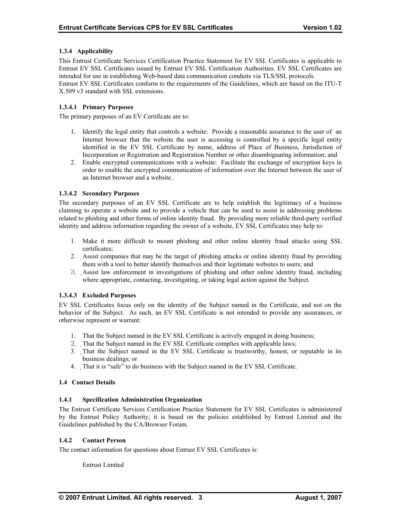# <span id="page-7-0"></span>**1.3.4 Applicability**

This Entrust Certificate Services Certification Practice Statement for EV SSL Certificates is applicable to Entrust EV SSL Certificates issued by Entrust EV SSL Certification Authorities. EV SSL Certificates are intended for use in establishing Web-based data communication conduits via TLS/SSL protocols. Entrust EV SSL Certificates conform to the requirements of the Guidelines, which are based on the ITU-T X.509 v3 standard with SSL extensions.

## **1.3.4.1 Primary Purposes**

The primary purposes of an EV Certificate are to:

- 1. Identify the legal entity that controls a website: Provide a reasonable assurance to the user of an Internet browser that the website the user is accessing is controlled by a specific legal entity identified in the EV SSL Certificate by name, address of Place of Business, Jurisdiction of Incorporation or Registration and Registration Number or other disambiguating information; and
- 2. Enable encrypted communications with a website: Facilitate the exchange of encryption keys in order to enable the encrypted communication of information over the Internet between the user of an Internet browser and a website.

# **1.3.4.2 Secondary Purposes**

The secondary purposes of an EV SSL Certificate are to help establish the legitimacy of a business claiming to operate a website and to provide a vehicle that can be used to assist in addressing problems related to phishing and other forms of online identity fraud. By providing more reliable third-party verified identity and address information regarding the owner of a website, EV SSL Certificates may help to:

- 1. Make it more difficult to mount phishing and other online identity fraud attacks using SSL certificates;
- 2. Assist companies that may be the target of phishing attacks or online identity fraud by providing them with a tool to better identify themselves and their legitimate websites to users; and
- 3. Assist law enforcement in investigations of phishing and other online identity fraud, including where appropriate, contacting, investigating, or taking legal action against the Subject.

#### **1.3.4.3 Excluded Purposes**

EV SSL Certificates focus only on the identity of the Subject named in the Certificate, and not on the behavior of the Subject. As such, an EV SSL Certificate is not intended to provide any assurances, or otherwise represent or warrant:

- 1. That the Subject named in the EV SSL Certificate is actively engaged in doing business;
- 2. That the Subject named in the EV SSL Certificate complies with applicable laws;
- 3. That the Subject named in the EV SSL Certificate is trustworthy, honest, or reputable in its business dealings; or
- 4. That it is "safe" to do business with the Subject named in the EV SSL Certificate.

#### **1.4 Contact Details**

#### **1.4.1 Specification Administration Organization**

The Entrust Certificate Services Certification Practice Statement for EV SSL Certificates is administered by the Entrust Policy Authority; it is based on the policies established by Entrust Limited and the Guidelines published by the CA/Browser Forum.

# **1.4.2 Contact Person**

The contact information for questions about Entrust EV SSL Certificates is:

Entrust Limited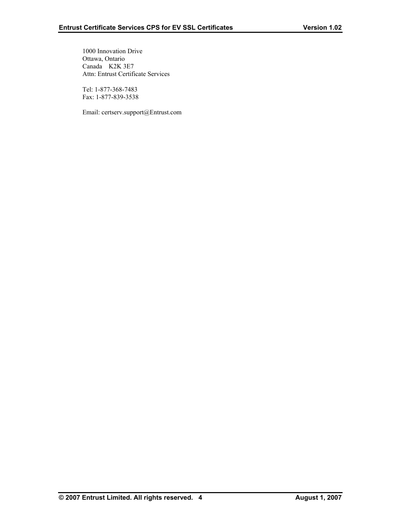1000 Innovation Drive Ottawa, Ontario Canada K2K 3E7 Attn: Entrust Certificate Services

 Tel: 1-877-368-7483 Fax: 1-877-839-3538

Email: certserv.support@Entrust.com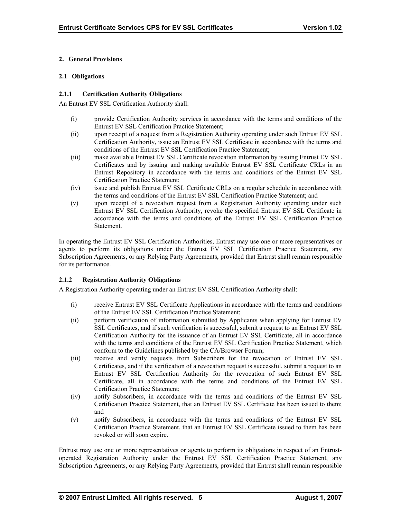# <span id="page-9-0"></span>**2. General Provisions**

## **2.1 Obligations**

## **2.1.1 Certification Authority Obligations**

An Entrust EV SSL Certification Authority shall:

- (i) provide Certification Authority services in accordance with the terms and conditions of the Entrust EV SSL Certification Practice Statement;
- (ii) upon receipt of a request from a Registration Authority operating under such Entrust EV SSL Certification Authority, issue an Entrust EV SSL Certificate in accordance with the terms and conditions of the Entrust EV SSL Certification Practice Statement;
- (iii) make available Entrust EV SSL Certificate revocation information by issuing Entrust EV SSL Certificates and by issuing and making available Entrust EV SSL Certificate CRLs in an Entrust Repository in accordance with the terms and conditions of the Entrust EV SSL Certification Practice Statement;
- (iv) issue and publish Entrust EV SSL Certificate CRLs on a regular schedule in accordance with the terms and conditions of the Entrust EV SSL Certification Practice Statement; and
- (v) upon receipt of a revocation request from a Registration Authority operating under such Entrust EV SSL Certification Authority, revoke the specified Entrust EV SSL Certificate in accordance with the terms and conditions of the Entrust EV SSL Certification Practice **Statement**

In operating the Entrust EV SSL Certification Authorities, Entrust may use one or more representatives or agents to perform its obligations under the Entrust EV SSL Certification Practice Statement, any Subscription Agreements, or any Relying Party Agreements, provided that Entrust shall remain responsible for its performance.

# **2.1.2 Registration Authority Obligations**

A Registration Authority operating under an Entrust EV SSL Certification Authority shall:

- (i) receive Entrust EV SSL Certificate Applications in accordance with the terms and conditions of the Entrust EV SSL Certification Practice Statement;
- (ii) perform verification of information submitted by Applicants when applying for Entrust EV SSL Certificates, and if such verification is successful, submit a request to an Entrust EV SSL Certification Authority for the issuance of an Entrust EV SSL Certificate, all in accordance with the terms and conditions of the Entrust EV SSL Certification Practice Statement, which conform to the Guidelines published by the CA/Browser Forum;
- (iii) receive and verify requests from Subscribers for the revocation of Entrust EV SSL Certificates, and if the verification of a revocation request is successful, submit a request to an Entrust EV SSL Certification Authority for the revocation of such Entrust EV SSL Certificate, all in accordance with the terms and conditions of the Entrust EV SSL Certification Practice Statement;
- (iv) notify Subscribers, in accordance with the terms and conditions of the Entrust EV SSL Certification Practice Statement, that an Entrust EV SSL Certificate has been issued to them; and
- (v) notify Subscribers, in accordance with the terms and conditions of the Entrust EV SSL Certification Practice Statement, that an Entrust EV SSL Certificate issued to them has been revoked or will soon expire.

Entrust may use one or more representatives or agents to perform its obligations in respect of an Entrustoperated Registration Authority under the Entrust EV SSL Certification Practice Statement, any Subscription Agreements, or any Relying Party Agreements, provided that Entrust shall remain responsible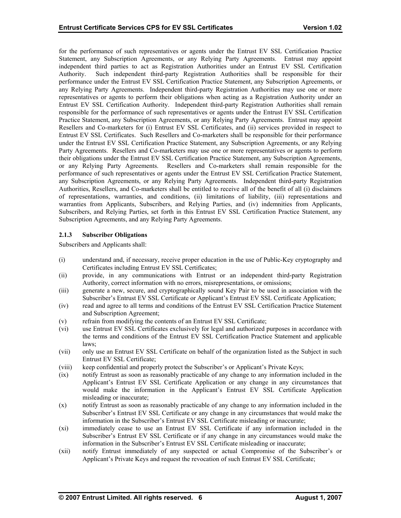<span id="page-10-0"></span>for the performance of such representatives or agents under the Entrust EV SSL Certification Practice Statement, any Subscription Agreements, or any Relying Party Agreements. Entrust may appoint independent third parties to act as Registration Authorities under an Entrust EV SSL Certification Authority. Such independent third-party Registration Authorities shall be responsible for their performance under the Entrust EV SSL Certification Practice Statement, any Subscription Agreements, or any Relying Party Agreements. Independent third-party Registration Authorities may use one or more representatives or agents to perform their obligations when acting as a Registration Authority under an Entrust EV SSL Certification Authority. Independent third-party Registration Authorities shall remain responsible for the performance of such representatives or agents under the Entrust EV SSL Certification Practice Statement, any Subscription Agreements, or any Relying Party Agreements. Entrust may appoint Resellers and Co-marketers for (i) Entrust EV SSL Certificates, and (ii) services provided in respect to Entrust EV SSL Certificates. Such Resellers and Co-marketers shall be responsible for their performance under the Entrust EV SSL Certification Practice Statement, any Subscription Agreements, or any Relying Party Agreements. Resellers and Co-marketers may use one or more representatives or agents to perform their obligations under the Entrust EV SSL Certification Practice Statement, any Subscription Agreements, or any Relying Party Agreements. Resellers and Co-marketers shall remain responsible for the performance of such representatives or agents under the Entrust EV SSL Certification Practice Statement, any Subscription Agreements, or any Relying Party Agreements. Independent third-party Registration Authorities, Resellers, and Co-marketers shall be entitled to receive all of the benefit of all (i) disclaimers of representations, warranties, and conditions, (ii) limitations of liability, (iii) representations and warranties from Applicants, Subscribers, and Relying Parties, and (iv) indemnities from Applicants, Subscribers, and Relying Parties, set forth in this Entrust EV SSL Certification Practice Statement, any Subscription Agreements, and any Relying Party Agreements.

# **2.1.3 Subscriber Obligations**

Subscribers and Applicants shall:

- (i) understand and, if necessary, receive proper education in the use of Public-Key cryptography and Certificates including Entrust EV SSL Certificates;
- (ii) provide, in any communications with Entrust or an independent third-party Registration Authority, correct information with no errors, misrepresentations, or omissions;
- (iii) generate a new, secure, and cryptographically sound Key Pair to be used in association with the Subscriber's Entrust EV SSL Certificate or Applicant's Entrust EV SSL Certificate Application;
- (iv) read and agree to all terms and conditions of the Entrust EV SSL Certification Practice Statement and Subscription Agreement;
- (v) refrain from modifying the contents of an Entrust EV SSL Certificate;
- (vi) use Entrust EV SSL Certificates exclusively for legal and authorized purposes in accordance with the terms and conditions of the Entrust EV SSL Certification Practice Statement and applicable laws;
- (vii) only use an Entrust EV SSL Certificate on behalf of the organization listed as the Subject in such Entrust EV SSL Certificate;
- (viii) keep confidential and properly protect the Subscriber's or Applicant's Private Keys;
- (ix) notify Entrust as soon as reasonably practicable of any change to any information included in the Applicant's Entrust EV SSL Certificate Application or any change in any circumstances that would make the information in the Applicant's Entrust EV SSL Certificate Application misleading or inaccurate;
- (x) notify Entrust as soon as reasonably practicable of any change to any information included in the Subscriber's Entrust EV SSL Certificate or any change in any circumstances that would make the information in the Subscriber's Entrust EV SSL Certificate misleading or inaccurate;
- (xi) immediately cease to use an Entrust EV SSL Certificate if any information included in the Subscriber's Entrust EV SSL Certificate or if any change in any circumstances would make the information in the Subscriber's Entrust EV SSL Certificate misleading or inaccurate;
- (xii) notify Entrust immediately of any suspected or actual Compromise of the Subscriber's or Applicant's Private Keys and request the revocation of such Entrust EV SSL Certificate;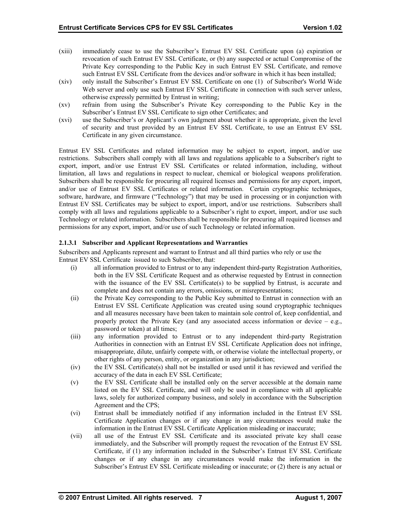- (xiii) immediately cease to use the Subscriber's Entrust EV SSL Certificate upon (a) expiration or revocation of such Entrust EV SSL Certificate, or (b) any suspected or actual Compromise of the Private Key corresponding to the Public Key in such Entrust EV SSL Certificate, and remove such Entrust EV SSL Certificate from the devices and/or software in which it has been installed;
- (xiv) only install the Subscriber's Entrust EV SSL Certificate on one (1) of Subscriber's World Wide Web server and only use such Entrust EV SSL Certificate in connection with such server unless, otherwise expressly permitted by Entrust in writing;
- (xv) refrain from using the Subscriber's Private Key corresponding to the Public Key in the Subscriber's Entrust EV SSL Certificate to sign other Certificates; and
- (xvi) use the Subscriber's or Applicant's own judgment about whether it is appropriate, given the level of security and trust provided by an Entrust EV SSL Certificate, to use an Entrust EV SSL Certificate in any given circumstance.

Entrust EV SSL Certificates and related information may be subject to export, import, and/or use restrictions. Subscribers shall comply with all laws and regulations applicable to a Subscriber's right to export, import, and/or use Entrust EV SSL Certificates or related information, including, without limitation, all laws and regulations in respect to nuclear, chemical or biological weapons proliferation. Subscribers shall be responsible for procuring all required licenses and permissions for any export, import, and/or use of Entrust EV SSL Certificates or related information. Certain cryptographic techniques, software, hardware, and firmware ("Technology") that may be used in processing or in conjunction with Entrust EV SSL Certificates may be subject to export, import, and/or use restrictions. Subscribers shall comply with all laws and regulations applicable to a Subscriber's right to export, import, and/or use such Technology or related information. Subscribers shall be responsible for procuring all required licenses and permissions for any export, import, and/or use of such Technology or related information.

# **2.1.3.1 Subscriber and Applicant Representations and Warranties**

Subscribers and Applicants represent and warrant to Entrust and all third parties who rely or use the Entrust EV SSL Certificate issued to such Subscriber, that:

- (i) all information provided to Entrust or to any independent third-party Registration Authorities, both in the EV SSL Certificate Request and as otherwise requested by Entrust in connection with the issuance of the EV SSL Certificate(s) to be supplied by Entrust, is accurate and complete and does not contain any errors, omissions, or misrepresentations;
- (ii) the Private Key corresponding to the Public Key submitted to Entrust in connection with an Entrust EV SSL Certificate Application was created using sound cryptographic techniques and all measures necessary have been taken to maintain sole control of, keep confidential, and properly protect the Private Key (and any associated access information or device  $-$  e.g., password or token) at all times;
- (iii) any information provided to Entrust or to any independent third-party Registration Authorities in connection with an Entrust EV SSL Certificate Application does not infringe, misappropriate, dilute, unfairly compete with, or otherwise violate the intellectual property, or other rights of any person, entity, or organization in any jurisdiction;
- (iv) the EV SSL Certificate(s) shall not be installed or used until it has reviewed and verified the accuracy of the data in each EV SSL Certificate;
- (v) the EV SSL Certificate shall be installed only on the server accessible at the domain name listed on the EV SSL Certificate, and will only be used in compliance with all applicable laws, solely for authorized company business, and solely in accordance with the Subscription Agreement and the CPS;
- (vi) Entrust shall be immediately notified if any information included in the Entrust EV SSL Certificate Application changes or if any change in any circumstances would make the information in the Entrust EV SSL Certificate Application misleading or inaccurate;
- (vii) all use of the Entrust EV SSL Certificate and its associated private key shall cease immediately, and the Subscriber will promptly request the revocation of the Entrust EV SSL Certificate, if (1) any information included in the Subscriber's Entrust EV SSL Certificate changes or if any change in any circumstances would make the information in the Subscriber's Entrust EV SSL Certificate misleading or inaccurate; or (2) there is any actual or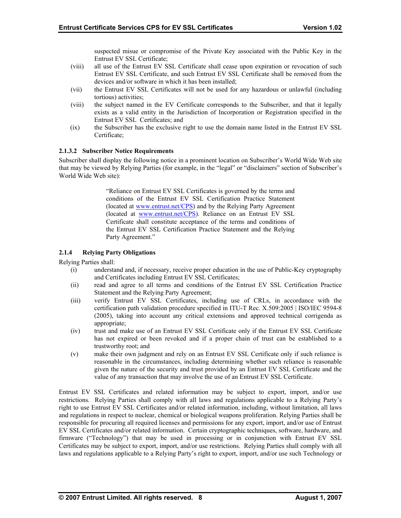suspected misue or compromise of the Private Key associated with the Public Key in the Entrust EV SSL Certificate;

- <span id="page-12-0"></span>(viii) all use of the Entrust EV SSL Certificate shall cease upon expiration or revocation of such Entrust EV SSL Certificate, and such Entrust EV SSL Certificate shall be removed from the devices and/or software in which it has been installed;
- (vii) the Entrust EV SSL Certificates will not be used for any hazardous or unlawful (including tortious) activities;
- (viii) the subject named in the EV Certificate corresponds to the Subscriber, and that it legally exists as a valid entity in the Jurisdiction of Incorporation or Registration specified in the Entrust EV SSL Certificates; and
- (ix) the Subscriber has the exclusive right to use the domain name listed in the Entrust EV SSL Certificate;

# **2.1.3.2 Subscriber Notice Requirements**

Subscriber shall display the following notice in a prominent location on Subscriber's World Wide Web site that may be viewed by Relying Parties (for example, in the "legal" or "disclaimers" section of Subscriber's World Wide Web site):

> "Reliance on Entrust EV SSL Certificates is governed by the terms and conditions of the Entrust EV SSL Certification Practice Statement (located at [www.entrust.net/CPS\)](http://www.entrust.net/CPS) and by the Relying Party Agreement (located at [www.entrust.net/CPS\)](http://www.entrust.net/CPS). Reliance on an Entrust EV SSL Certificate shall constitute acceptance of the terms and conditions of the Entrust EV SSL Certification Practice Statement and the Relying Party Agreement."

# **2.1.4 Relying Party Obligations**

Relying Parties shall:

- (i) understand and, if necessary, receive proper education in the use of Public-Key cryptography and Certificates including Entrust EV SSL Certificates;
- (ii) read and agree to all terms and conditions of the Entrust EV SSL Certification Practice Statement and the Relying Party Agreement;
- (iii) verify Entrust EV SSL Certificates, including use of CRLs, in accordance with the certification path validation procedure specified in ITU-T Rec. X.509:2005 | ISO/IEC 9594-8 (2005), taking into account any critical extensions and approved technical corrigenda as appropriate;
- (iv) trust and make use of an Entrust EV SSL Certificate only if the Entrust EV SSL Certificate has not expired or been revoked and if a proper chain of trust can be established to a trustworthy root; and
- (v) make their own judgment and rely on an Entrust EV SSL Certificate only if such reliance is reasonable in the circumstances, including determining whether such reliance is reasonable given the nature of the security and trust provided by an Entrust EV SSL Certificate and the value of any transaction that may involve the use of an Entrust EV SSL Certificate.

Entrust EV SSL Certificates and related information may be subject to export, import, and/or use restrictions. Relying Parties shall comply with all laws and regulations applicable to a Relying Party's right to use Entrust EV SSL Certificates and/or related information, including, without limitation, all laws and regulations in respect to nuclear, chemical or biological weapons proliferation. Relying Parties shall be responsible for procuring all required licenses and permissions for any export, import, and/or use of Entrust EV SSL Certificates and/or related information. Certain cryptographic techniques, software, hardware, and firmware ("Technology") that may be used in processing or in conjunction with Entrust EV SSL Certificates may be subject to export, import, and/or use restrictions. Relying Parties shall comply with all laws and regulations applicable to a Relying Party's right to export, import, and/or use such Technology or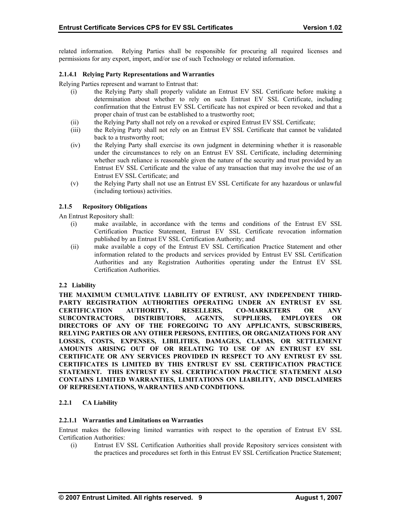<span id="page-13-0"></span>related information. Relying Parties shall be responsible for procuring all required licenses and permissions for any export, import, and/or use of such Technology or related information.

#### **2.1.4.1 Relying Party Representations and Warranties**

Relying Parties represent and warrant to Entrust that:

- (i) the Relying Party shall properly validate an Entrust EV SSL Certificate before making a determination about whether to rely on such Entrust EV SSL Certificate, including confirmation that the Entrust EV SSL Certificate has not expired or been revoked and that a proper chain of trust can be established to a trustworthy root;
- (ii) the Relying Party shall not rely on a revoked or expired Entrust EV SSL Certificate;
- (iii) the Relying Party shall not rely on an Entrust EV SSL Certificate that cannot be validated back to a trustworthy root;
- (iv) the Relying Party shall exercise its own judgment in determining whether it is reasonable under the circumstances to rely on an Entrust EV SSL Certificate, including determining whether such reliance is reasonable given the nature of the security and trust provided by an Entrust EV SSL Certificate and the value of any transaction that may involve the use of an Entrust EV SSL Certificate; and
- (v) the Relying Party shall not use an Entrust EV SSL Certificate for any hazardous or unlawful (including tortious) activities.

# **2.1.5 Repository Obligations**

An Entrust Repository shall:

- (i) make available, in accordance with the terms and conditions of the Entrust EV SSL Certification Practice Statement, Entrust EV SSL Certificate revocation information published by an Entrust EV SSL Certification Authority; and
- (ii) make available a copy of the Entrust EV SSL Certification Practice Statement and other information related to the products and services provided by Entrust EV SSL Certification Authorities and any Registration Authorities operating under the Entrust EV SSL Certification Authorities.

#### **2.2 Liability**

**THE MAXIMUM CUMULATIVE LIABILITY OF ENTRUST, ANY INDEPENDENT THIRD-PARTY REGISTRATION AUTHORITIES OPERATING UNDER AN ENTRUST EV SSL CERTIFICATION AUTHORITY, RESELLERS, CO-MARKETERS OR ANY SUBCONTRACTORS, DISTRIBUTORS, AGENTS, SUPPLIERS, EMPLOYEES OR DIRECTORS OF ANY OF THE FOREGOING TO ANY APPLICANTS, SUBSCRIBERS, RELYING PARTIES OR ANY OTHER PERSONS, ENTITIES, OR ORGANIZATIONS FOR ANY LOSSES, COSTS, EXPENSES, LIBILITIES, DAMAGES, CLAIMS, OR SETTLEMENT AMOUNTS ARISING OUT OF OR RELATING TO USE OF AN ENTRUST EV SSL CERTIFICATE OR ANY SERVICES PROVIDED IN RESPECT TO ANY ENTRUST EV SSL CERTIFICATES IS LIMITED BY THIS ENTRUST EV SSL CERTIFICATION PRACTICE STATEMENT. THIS ENTRUST EV SSL CERTIFICATION PRACTICE STATEMENT ALSO CONTAINS LIMITED WARRANTIES, LIMITATIONS ON LIABILITY, AND DISCLAIMERS OF REPRESENTATIONS, WARRANTIES AND CONDITIONS.** 

# **2.2.1 CA Liability**

## **2.2.1.1 Warranties and Limitations on Warranties**

Entrust makes the following limited warranties with respect to the operation of Entrust EV SSL Certification Authorities:

(i) Entrust EV SSL Certification Authorities shall provide Repository services consistent with the practices and procedures set forth in this Entrust EV SSL Certification Practice Statement;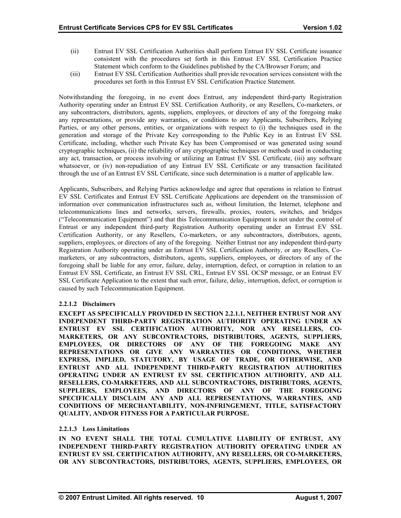- (ii) Entrust EV SSL Certification Authorities shall perform Entrust EV SSL Certificate issuance consistent with the procedures set forth in this Entrust EV SSL Certification Practice Statement which conform to the Guidelines published by the CA/Browser Forum; and
- (iii) Entrust EV SSL Certification Authorities shall provide revocation services consistent with the procedures set forth in this Entrust EV SSL Certification Practice Statement.

Notwithstanding the foregoing, in no event does Entrust, any independent third-party Registration Authority operating under an Entrust EV SSL Certification Authority, or any Resellers, Co-marketers, or any subcontractors, distributors, agents, suppliers, employees, or directors of any of the foregoing make any representations, or provide any warranties, or conditions to any Applicants, Subscribers, Relying Parties, or any other persons, entities, or organizations with respect to (i) the techniques used in the generation and storage of the Private Key corresponding to the Public Key in an Entrust EV SSL Certificate, including, whether such Private Key has been Compromised or was generated using sound cryptographic techniques, (ii) the reliability of any cryptographic techniques or methods used in conducting any act, transaction, or process involving or utilizing an Entrust EV SSL Certificate, (iii) any software whatsoever, or (iv) non-repudiation of any Entrust EV SSL Certificate or any transaction facilitated through the use of an Entrust EV SSL Certificate, since such determination is a matter of applicable law.

Applicants, Subscribers, and Relying Parties acknowledge and agree that operations in relation to Entrust EV SSL Certificates and Entrust EV SSL Certificate Applications are dependent on the transmission of information over communication infrastructures such as, without limitation, the Internet, telephone and telecommunications lines and networks, servers, firewalls, proxies, routers, switches, and bridges ("Telecommunication Equipment") and that this Telecommunication Equipment is not under the control of Entrust or any independent third-party Registration Authority operating under an Entrust EV SSL Certification Authority, or any Resellers, Co-marketers, or any subcontractors, distributors, agents, suppliers, employees, or directors of any of the foregoing. Neither Entrust nor any independent third-party Registration Authority operating under an Entrust EV SSL Certification Authority, or any Resellers, Comarketers, or any subcontractors, distributors, agents, suppliers, employees, or directors of any of the foregoing shall be liable for any error, failure, delay, interruption, defect, or corruption in relation to an Entrust EV SSL Certificate, an Entrust EV SSL CRL, Entrust EV SSL OCSP message, or an Entrust EV SSL Certificate Application to the extent that such error, failure, delay, interruption, defect, or corruption is caused by such Telecommunication Equipment.

# **2.2.1.2 Disclaimers**

**EXCEPT AS SPECIFICALLY PROVIDED IN SECTION 2.2.1.1, NEITHER ENTRUST NOR ANY INDEPENDENT THIRD-PARTY REGISTRATION AUTHORITY OPERATING UNDER AN ENTRUST EV SSL CERTIFICATION AUTHORITY, NOR ANY RESELLERS, CO-MARKETERS, OR ANY SUBCONTRACTORS, DISTRIBUTORS, AGENTS, SUPPLIERS, EMPLOYEES, OR DIRECTORS OF ANY OF THE FOREGOING MAKE ANY REPRESENTATIONS OR GIVE ANY WARRANTIES OR CONDITIONS, WHETHER EXPRESS, IMPLIED, STATUTORY, BY USAGE OF TRADE, OR OTHERWISE, AND ENTRUST AND ALL INDEPENDENT THIRD-PARTY REGISTRATION AUTHORITIES OPERATING UNDER AN ENTRUST EV SSL CERTIFICATION AUTHORITY, AND ALL RESELLERS, CO-MARKETERS, AND ALL SUBCONTRACTORS, DISTRIBUTORS, AGENTS, SUPPLIERS, EMPLOYEES, AND DIRECTORS OF ANY OF THE FOREGOING SPECIFICALLY DISCLAIM ANY AND ALL REPRESENTATIONS, WARRANTIES, AND CONDITIONS OF MERCHANTABILITY, NON-INFRINGEMENT, TITLE, SATISFACTORY QUALITY, AND/OR FITNESS FOR A PARTICULAR PURPOSE.** 

#### **2.2.1.3 Loss Limitations**

**IN NO EVENT SHALL THE TOTAL CUMULATIVE LIABILITY OF ENTRUST, ANY INDEPENDENT THIRD-PARTY REGISTRATION AUTHORITY OPERATING UNDER AN ENTRUST EV SSL CERTIFICATION AUTHORITY, ANY RESELLERS, OR CO-MARKETERS, OR ANY SUBCONTRACTORS, DISTRIBUTORS, AGENTS, SUPPLIERS, EMPLOYEES, OR**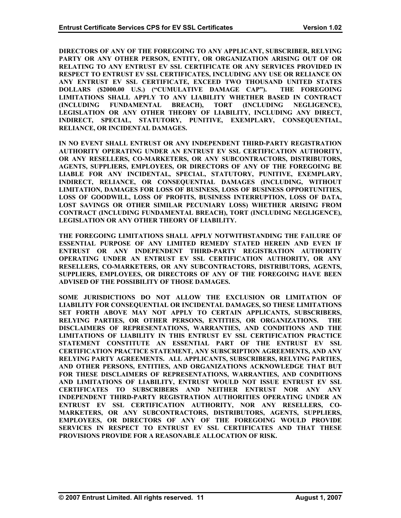**DIRECTORS OF ANY OF THE FOREGOING TO ANY APPLICANT, SUBSCRIBER, RELYING PARTY OR ANY OTHER PERSON, ENTITY, OR ORGANIZATION ARISING OUT OF OR RELATING TO ANY ENTRUST EV SSL CERTIFICATE OR ANY SERVICES PROVIDED IN RESPECT TO ENTRUST EV SSL CERTIFICATES, INCLUDING ANY USE OR RELIANCE ON ANY ENTRUST EV SSL CERTIFICATE, EXCEED TWO THOUSAND UNITED STATES DOLLARS (\$2000.00 U.S.) ("CUMULATIVE DAMAGE CAP"). THE FOREGOING LIMITATIONS SHALL APPLY TO ANY LIABILITY WHETHER BASED IN CONTRACT (INCLUDING FUNDAMENTAL BREACH), TORT (INCLUDING NEGLIGENCE), LEGISLATION OR ANY OTHER THEORY OF LIABILITY, INCLUDING ANY DIRECT, INDIRECT, SPECIAL, STATUTORY, PUNITIVE, EXEMPLARY, CONSEQUENTIAL, RELIANCE, OR INCIDENTAL DAMAGES.** 

**IN NO EVENT SHALL ENTRUST OR ANY INDEPENDENT THIRD-PARTY REGISTRATION AUTHORITY OPERATING UNDER AN ENTRUST EV SSL CERTIFICATION AUTHORITY, OR ANY RESELLERS, CO-MARKETERS, OR ANY SUBCONTRACTORS, DISTRIBUTORS, AGENTS, SUPPLIERS, EMPLOYEES, OR DIRECTORS OF ANY OF THE FOREGOING BE LIABLE FOR ANY INCIDENTAL, SPECIAL, STATUTORY, PUNITIVE, EXEMPLARY, INDIRECT, RELIANCE, OR CONSEQUENTIAL DAMAGES (INCLUDING, WITHOUT LIMITATION, DAMAGES FOR LOSS OF BUSINESS, LOSS OF BUSINESS OPPORTUNITIES, LOSS OF GOODWILL, LOSS OF PROFITS, BUSINESS INTERRUPTION, LOSS OF DATA, LOST SAVINGS OR OTHER SIMILAR PECUNIARY LOSS) WHETHER ARISING FROM CONTRACT (INCLUDING FUNDAMENTAL BREACH), TORT (INCLUDING NEGLIGENCE), LEGISLATION OR ANY OTHER THEORY OF LIABILITY.** 

**THE FOREGOING LIMITATIONS SHALL APPLY NOTWITHSTANDING THE FAILURE OF ESSENTIAL PURPOSE OF ANY LIMITED REMEDY STATED HEREIN AND EVEN IF ENTRUST OR ANY INDEPENDENT THIRD-PARTY REGISTRATION AUTHORITY OPERATING UNDER AN ENTRUST EV SSL CERTIFICATION AUTHORITY, OR ANY RESELLERS, CO-MARKETERS, OR ANY SUBCONTRACTORS, DISTRIBUTORS, AGENTS, SUPPLIERS, EMPLOYEES, OR DIRECTORS OF ANY OF THE FOREGOING HAVE BEEN ADVISED OF THE POSSIBILITY OF THOSE DAMAGES.** 

**SOME JURISDICTIONS DO NOT ALLOW THE EXCLUSION OR LIMITATION OF LIABILITY FOR CONSEQUENTIAL OR INCIDENTAL DAMAGES, SO THESE LIMITATIONS SET FORTH ABOVE MAY NOT APPLY TO CERTAIN APPLICANTS, SUBSCRIBERS, RELYING PARTIES, OR OTHER PERSONS, ENTITIES, OR ORGANIZATIONS. THE DISCLAIMERS OF REPRESENTATIONS, WARRANTIES, AND CONDITIONS AND THE LIMITATIONS OF LIABILITY IN THIS ENTRUST EV SSL CERTIFICATION PRACTICE STATEMENT CONSTITUTE AN ESSENTIAL PART OF THE ENTRUST EV SSL CERTIFICATION PRACTICE STATEMENT, ANY SUBSCRIPTION AGREEMENTS, AND ANY RELYING PARTY AGREEMENTS. ALL APPLICANTS, SUBSCRIBERS, RELYING PARTIES, AND OTHER PERSONS, ENTITIES, AND ORGANIZATIONS ACKNOWLEDGE THAT BUT FOR THESE DISCLAIMERS OF REPRESENTATIONS, WARRANTIES, AND CONDITIONS AND LIMITATIONS OF LIABILITY, ENTRUST WOULD NOT ISSUE ENTRUST EV SSL CERTIFICATES TO SUBSCRIBERS AND NEITHER ENTRUST NOR ANY ANY INDEPENDENT THIRD-PARTY REGISTRATION AUTHORITIES OPERATING UNDER AN ENTRUST EV SSL CERTIFICATION AUTHORITY, NOR ANY RESELLERS, CO-MARKETERS, OR ANY SUBCONTRACTORS, DISTRIBUTORS, AGENTS, SUPPLIERS, EMPLOYEES, OR DIRECTORS OF ANY OF THE FOREGOING WOULD PROVIDE SERVICES IN RESPECT TO ENTRUST EV SSL CERTIFICATES AND THAT THESE PROVISIONS PROVIDE FOR A REASONABLE ALLOCATION OF RISK.**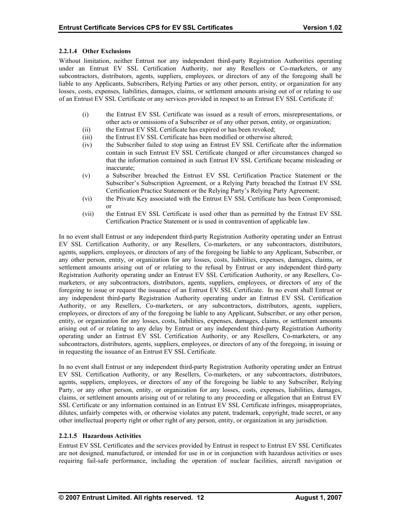# **2.2.1.4 Other Exclusions**

Without limitation, neither Entrust nor any independent third-party Registration Authorities operating under an Entrust EV SSL Certification Authority, nor any Resellers or Co-marketers, or any subcontractors, distributors, agents, suppliers, employees, or directors of any of the foregoing shall be liable to any Applicants, Subscribers, Relying Parties or any other person, entity, or organization for any losses, costs, expenses, liabilities, damages, claims, or settlement amounts arising out of or relating to use of an Entrust EV SSL Certificate or any services provided in respect to an Entrust EV SSL Certificate if:

- (i) the Entrust EV SSL Certificate was issued as a result of errors, misrepresentations, or other acts or omissions of a Subscriber or of any other person, entity, or organization;
- (ii) the Entrust EV SSL Certificate has expired or has been revoked;
- (iii) the Entrust EV SSL Certificate has been modified or otherwise altered;
- (iv) the Subscriber failed to stop using an Entrust EV SSL Certificate after the information contain in such Entrust EV SSL Certificate changed or after circumstances changed so that the information contained in such Entrust EV SSL Certificate became misleading or inaccurate;
- (v) a Subscriber breached the Entrust EV SSL Certification Practice Statement or the Subscriber's Subscription Agreement, or a Relying Party breached the Entrust EV SSL Certification Practice Statement or the Relying Party's Relying Party Agreement;
- (vi) the Private Key associated with the Entrust EV SSL Certificate has been Compromised; or
- (vii) the Entrust EV SSL Certificate is used other than as permitted by the Entrust EV SSL Certification Practice Statement or is used in contravention of applicable law.

In no event shall Entrust or any independent third-party Registration Authority operating under an Entrust EV SSL Certification Authority, or any Resellers, Co-marketers, or any subcontractors, distributors, agents, suppliers, employees, or directors of any of the foregoing be liable to any Applicant, Subscriber, or any other person, entity, or organization for any losses, costs, liabilities, expenses, damages, claims, or settlement amounts arising out of or relating to the refusal by Entrust or any independent third-party Registration Authority operating under an Entrust EV SSL Certification Authority, or any Resellers, Comarketers, or any subcontractors, distributors, agents, suppliers, employees, or directors of any of the foregoing to issue or request the issuance of an Entrust EV SSL Certificate. In no event shall Entrust or any independent third-party Registration Authority operating under an Entrust EV SSL Certification Authority, or any Resellers, Co-marketers, or any subcontractors, distributors, agents, suppliers, employees, or directors of any of the foregoing be liable to any Applicant, Subscriber, or any other person, entity, or organization for any losses, costs, liabilities, expenses, damages, claims, or settlement amounts arising out of or relating to any delay by Entrust or any independent third-party Registration Authority operating under an Entrust EV SSL Certification Authority, or any Resellers, Co-marketers, or any subcontractors, distributors, agents, suppliers, employees, or directors of any of the foregoing, in issuing or in requesting the issuance of an Entrust EV SSL Certificate.

In no event shall Entrust or any independent third-party Registration Authority operating under an Entrust EV SSL Certification Authority, or any Resellers, Co-marketers, or any subcontractors, distributors, agents, suppliers, employees, or directors of any of the foregoing be liable to any Subscriber, Relying Party, or any other person, entity, or organization for any losses, costs, expenses, liabilities, damages, claims, or settlement amounts arising out of or relating to any proceeding or allegation that an Entrust EV SSL Certificate or any information contained in an Entrust EV SSL Certificate infringes, misappropriates, dilutes, unfairly competes with, or otherwise violates any patent, trademark, copyright, trade secret, or any other intellectual property right or other right of any person, entity, or organization in any jurisdiction.

# **2.2.1.5 Hazardous Activities**

Entrust EV SSL Certificates and the services provided by Entrust in respect to Entrust EV SSL Certificates are not designed, manufactured, or intended for use in or in conjunction with hazardous activities or uses requiring fail-safe performance, including the operation of nuclear facilities, aircraft navigation or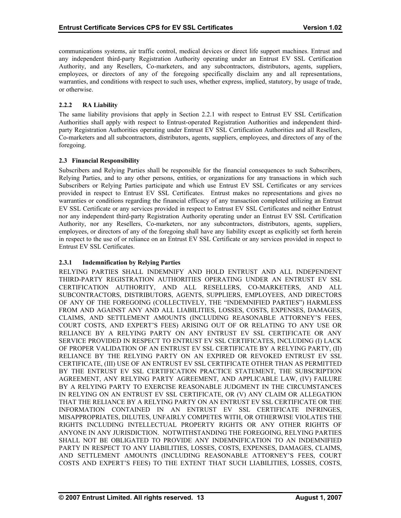<span id="page-17-0"></span>communications systems, air traffic control, medical devices or direct life support machines. Entrust and any independent third-party Registration Authority operating under an Entrust EV SSL Certification Authority, and any Resellers, Co-marketers, and any subcontractors, distributors, agents, suppliers, employees, or directors of any of the foregoing specifically disclaim any and all representations, warranties, and conditions with respect to such uses, whether express, implied, statutory, by usage of trade, or otherwise.

# **2.2.2 RA Liability**

The same liability provisions that apply in Section 2.2.1 with respect to Entrust EV SSL Certification Authorities shall apply with respect to Entrust-operated Registration Authorities and independent thirdparty Registration Authorities operating under Entrust EV SSL Certification Authorities and all Resellers, Co-marketers and all subcontractors, distributors, agents, suppliers, employees, and directors of any of the foregoing.

# **2.3 Financial Responsibility**

Subscribers and Relying Parties shall be responsible for the financial consequences to such Subscribers, Relying Parties, and to any other persons, entities, or organizations for any transactions in which such Subscribers or Relying Parties participate and which use Entrust EV SSL Certificates or any services provided in respect to Entrust EV SSL Certificates. Entrust makes no representations and gives no warranties or conditions regarding the financial efficacy of any transaction completed utilizing an Entrust EV SSL Certificate or any services provided in respect to Entrust EV SSL Certificates and neither Entrust nor any independent third-party Registration Authority operating under an Entrust EV SSL Certification Authority, nor any Resellers, Co-marketers, nor any subcontractors, distributors, agents, suppliers, employees, or directors of any of the foregoing shall have any liability except as explicitly set forth herein in respect to the use of or reliance on an Entrust EV SSL Certificate or any services provided in respect to Entrust EV SSL Certificates.

# **2.3.1 Indemnification by Relying Parties**

RELYING PARTIES SHALL INDEMNIFY AND HOLD ENTRUST AND ALL INDEPENDENT THIRD-PARTY REGISTRATION AUTHORITIES OPERATING UNDER AN ENTRUST EV SSL CERTIFICATION AUTHORITY, AND ALL RESELLERS, CO-MARKETERS, AND ALL SUBCONTRACTORS, DISTRIBUTORS, AGENTS, SUPPLIERS, EMPLOYEES, AND DIRECTORS OF ANY OF THE FOREGOING (COLLECTIVELY, THE "INDEMNIFIED PARTIES") HARMLESS FROM AND AGAINST ANY AND ALL LIABILITIES, LOSSES, COSTS, EXPENSES, DAMAGES, CLAIMS, AND SETTLEMENT AMOUNTS (INCLUDING REASONABLE ATTORNEY'S FEES, COURT COSTS, AND EXPERT'S FEES) ARISING OUT OF OR RELATING TO ANY USE OR RELIANCE BY A RELYING PARTY ON ANY ENTRUST EV SSL CERTIFICATE OR ANY SERVICE PROVIDED IN RESPECT TO ENTRUST EV SSL CERTIFICATES, INCLUDING (I) LACK OF PROPER VALIDATION OF AN ENTRUST EV SSL CERTIFICATE BY A RELYING PARTY, (II) RELIANCE BY THE RELYING PARTY ON AN EXPIRED OR REVOKED ENTRUST EV SSL CERTIFICATE, (III) USE OF AN ENTRUST EV SSL CERTIFICATE OTHER THAN AS PERMITTED BY THE ENTRUST EV SSL CERTIFICATION PRACTICE STATEMENT, THE SUBSCRIPTION AGREEMENT, ANY RELYING PARTY AGREEMENT, AND APPLICABLE LAW, (IV) FAILURE BY A RELYING PARTY TO EXERCISE REASONABLE JUDGMENT IN THE CIRCUMSTANCES IN RELYING ON AN ENTRUST EV SSL CERTIFICATE, OR (V) ANY CLAIM OR ALLEGATION THAT THE RELIANCE BY A RELYING PARTY ON AN ENTRUST EV SSL CERTIFICATE OR THE INFORMATION CONTAINED IN AN ENTRUST EV SSL CERTIFICATE INFRINGES, MISAPPROPRIATES, DILUTES, UNFAIRLY COMPETES WITH, OR OTHERWISE VIOLATES THE RIGHTS INCLUDING INTELLECTUAL PROPERTY RIGHTS OR ANY OTHER RIGHTS OF ANYONE IN ANY JURISDICTION. NOTWITHSTANDING THE FOREGOING, RELYING PARTIES SHALL NOT BE OBLIGATED TO PROVIDE ANY INDEMNIFICATION TO AN INDEMNIFIED PARTY IN RESPECT TO ANY LIABILITIES, LOSSES, COSTS, EXPENSES, DAMAGES, CLAIMS, AND SETTLEMENT AMOUNTS (INCLUDING REASONABLE ATTORNEY'S FEES, COURT COSTS AND EXPERT'S FEES) TO THE EXTENT THAT SUCH LIABILITIES, LOSSES, COSTS,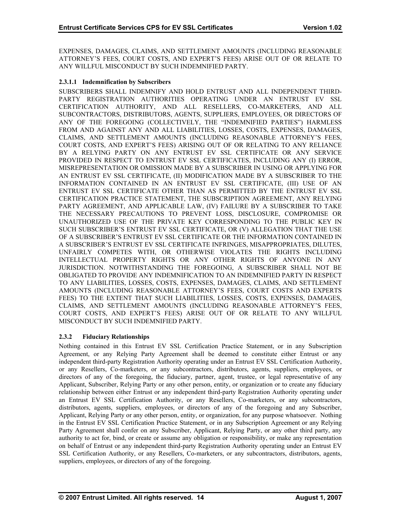<span id="page-18-0"></span>EXPENSES, DAMAGES, CLAIMS, AND SETTLEMENT AMOUNTS (INCLUDING REASONABLE ATTORNEY'S FEES, COURT COSTS, AND EXPERT'S FEES) ARISE OUT OF OR RELATE TO ANY WILLFUL MISCONDUCT BY SUCH INDEMNIFIED PARTY.

# **2.3.1.1 Indemnification by Subscribers**

SUBSCRIBERS SHALL INDEMNIFY AND HOLD ENTRUST AND ALL INDEPENDENT THIRD-PARTY REGISTRATION AUTHORITIES OPERATING UNDER AN ENTRUST EV SSL CERTIFICATION AUTHORITY, AND ALL RESELLERS, CO-MARKETERS, AND ALL SUBCONTRACTORS, DISTRIBUTORS, AGENTS, SUPPLIERS, EMPLOYEES, OR DIRECTORS OF ANY OF THE FOREGOING (COLLECTIVELY, THE "INDEMNIFIED PARTIES") HARMLESS FROM AND AGAINST ANY AND ALL LIABILITIES, LOSSES, COSTS, EXPENSES, DAMAGES, CLAIMS, AND SETTLEMENT AMOUNTS (INCLUDING REASONABLE ATTORNEY'S FEES, COURT COSTS, AND EXPERT'S FEES) ARISING OUT OF OR RELATING TO ANY RELIANCE BY A RELYING PARTY ON ANY ENTRUST EV SSL CERTIFICATE OR ANY SERVICE PROVIDED IN RESPECT TO ENTRUST EV SSL CERTIFICATES, INCLUDING ANY (I) ERROR, MISREPRESENTATION OR OMISSION MADE BY A SUBSCRIBER IN USING OR APPLYING FOR AN ENTRUST EV SSL CERTIFICATE, (II) MODIFICATION MADE BY A SUBSCRIBER TO THE INFORMATION CONTAINED IN AN ENTRUST EV SSL CERTIFICATE, (III) USE OF AN ENTRUST EV SSL CERTIFICATE OTHER THAN AS PERMITTED BY THE ENTRUST EV SSL CERTIFICATION PRACTICE STATEMENT, THE SUBSCRIPTION AGREEMENT, ANY RELYING PARTY AGREEMENT, AND APPLICABLE LAW, (IV) FAILURE BY A SUBSCRIBER TO TAKE THE NECESSARY PRECAUTIONS TO PREVENT LOSS, DISCLOSURE, COMPROMISE OR UNAUTHORIZED USE OF THE PRIVATE KEY CORRESPONDING TO THE PUBLIC KEY IN SUCH SUBSCRIBER'S ENTRUST EV SSL CERTIFICATE, OR (V) ALLEGATION THAT THE USE OF A SUBSCRIBER'S ENTRUST EV SSL CERTIFICATE OR THE INFORMATION CONTAINED IN A SUBSCRIBER'S ENTRUST EV SSL CERTIFICATE INFRINGES, MISAPPROPRIATES, DILUTES, UNFAIRLY COMPETES WITH, OR OTHERWISE VIOLATES THE RIGHTS INCLUDING INTELLECTUAL PROPERTY RIGHTS OR ANY OTHER RIGHTS OF ANYONE IN ANY JURISDICTION. NOTWITHSTANDING THE FOREGOING, A SUBSCRIBER SHALL NOT BE OBLIGATED TO PROVIDE ANY INDEMNIFICATION TO AN INDEMNIFIED PARTY IN RESPECT TO ANY LIABILITIES, LOSSES, COSTS, EXPENSES, DAMAGES, CLAIMS, AND SETTLEMENT AMOUNTS (INCLUDING REASONABLE ATTORNEY'S FEES, COURT COSTS AND EXPERTS FEES) TO THE EXTENT THAT SUCH LIABILITIES, LOSSES, COSTS, EXPENSES, DAMAGES, CLAIMS, AND SETTLEMENT AMOUNTS (INCLUDING REASONABLE ATTORNEY'S FEES, COURT COSTS, AND EXPERT'S FEES) ARISE OUT OF OR RELATE TO ANY WILLFUL MISCONDUCT BY SUCH INDEMNIFIED PARTY.

# **2.3.2 Fiduciary Relationships**

Nothing contained in this Entrust EV SSL Certification Practice Statement, or in any Subscription Agreement, or any Relying Party Agreement shall be deemed to constitute either Entrust or any independent third-party Registration Authority operating under an Entrust EV SSL Certification Authority, or any Resellers, Co-marketers, or any subcontractors, distributors, agents, suppliers, employees, or directors of any of the foregoing, the fiduciary, partner, agent, trustee, or legal representative of any Applicant, Subscriber, Relying Party or any other person, entity, or organization or to create any fiduciary relationship between either Entrust or any independent third-party Registration Authority operating under an Entrust EV SSL Certification Authority, or any Resellers, Co-marketers, or any subcontractors, distributors, agents, suppliers, employees, or directors of any of the foregoing and any Subscriber, Applicant, Relying Party or any other person, entity, or organization, for any purpose whatsoever. Nothing in the Entrust EV SSL Certification Practice Statement, or in any Subscription Agreement or any Relying Party Agreement shall confer on any Subscriber, Applicant, Relying Party, or any other third party, any authority to act for, bind, or create or assume any obligation or responsibility, or make any representation on behalf of Entrust or any independent third-party Registration Authority operating under an Entrust EV SSL Certification Authority, or any Resellers, Co-marketers, or any subcontractors, distributors, agents, suppliers, employees, or directors of any of the foregoing.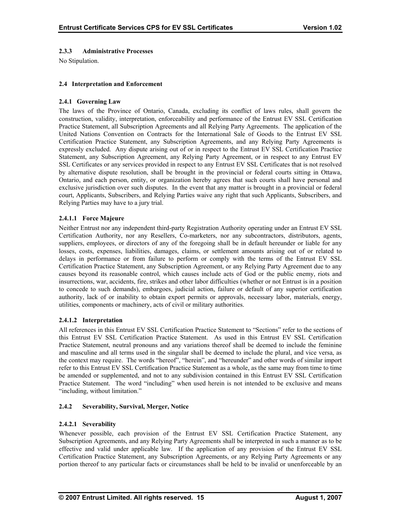# <span id="page-19-0"></span>**2.3.3 Administrative Processes**

No Stipulation.

# **2.4 Interpretation and Enforcement**

# **2.4.1 Governing Law**

The laws of the Province of Ontario, Canada, excluding its conflict of laws rules, shall govern the construction, validity, interpretation, enforceability and performance of the Entrust EV SSL Certification Practice Statement, all Subscription Agreements and all Relying Party Agreements. The application of the United Nations Convention on Contracts for the International Sale of Goods to the Entrust EV SSL Certification Practice Statement, any Subscription Agreements, and any Relying Party Agreements is expressly excluded. Any dispute arising out of or in respect to the Entrust EV SSL Certification Practice Statement, any Subscription Agreement, any Relying Party Agreement, or in respect to any Entrust EV SSL Certificates or any services provided in respect to any Entrust EV SSL Certificates that is not resolved by alternative dispute resolution, shall be brought in the provincial or federal courts sitting in Ottawa, Ontario, and each person, entity, or organization hereby agrees that such courts shall have personal and exclusive jurisdiction over such disputes. In the event that any matter is brought in a provincial or federal court, Applicants, Subscribers, and Relying Parties waive any right that such Applicants, Subscribers, and Relying Parties may have to a jury trial.

# **2.4.1.1 Force Majeure**

Neither Entrust nor any independent third-party Registration Authority operating under an Entrust EV SSL Certification Authority, nor any Resellers, Co-marketers, nor any subcontractors, distributors, agents, suppliers, employees, or directors of any of the foregoing shall be in default hereunder or liable for any losses, costs, expenses, liabilities, damages, claims, or settlement amounts arising out of or related to delays in performance or from failure to perform or comply with the terms of the Entrust EV SSL Certification Practice Statement, any Subscription Agreement, or any Relying Party Agreement due to any causes beyond its reasonable control, which causes include acts of God or the public enemy, riots and insurrections, war, accidents, fire, strikes and other labor difficulties (whether or not Entrust is in a position to concede to such demands), embargoes, judicial action, failure or default of any superior certification authority, lack of or inability to obtain export permits or approvals, necessary labor, materials, energy, utilities, components or machinery, acts of civil or military authorities.

# **2.4.1.2 Interpretation**

All references in this Entrust EV SSL Certification Practice Statement to "Sections" refer to the sections of this Entrust EV SSL Certification Practice Statement. As used in this Entrust EV SSL Certification Practice Statement, neutral pronouns and any variations thereof shall be deemed to include the feminine and masculine and all terms used in the singular shall be deemed to include the plural, and vice versa, as the context may require. The words "hereof", "herein", and "hereunder" and other words of similar import refer to this Entrust EV SSL Certification Practice Statement as a whole, as the same may from time to time be amended or supplemented, and not to any subdivision contained in this Entrust EV SSL Certification Practice Statement. The word "including" when used herein is not intended to be exclusive and means "including, without limitation."

#### **2.4.2 Severability, Survival, Merger, Notice**

# **2.4.2.1 Severability**

Whenever possible, each provision of the Entrust EV SSL Certification Practice Statement, any Subscription Agreements, and any Relying Party Agreements shall be interpreted in such a manner as to be effective and valid under applicable law. If the application of any provision of the Entrust EV SSL Certification Practice Statement, any Subscription Agreements, or any Relying Party Agreements or any portion thereof to any particular facts or circumstances shall be held to be invalid or unenforceable by an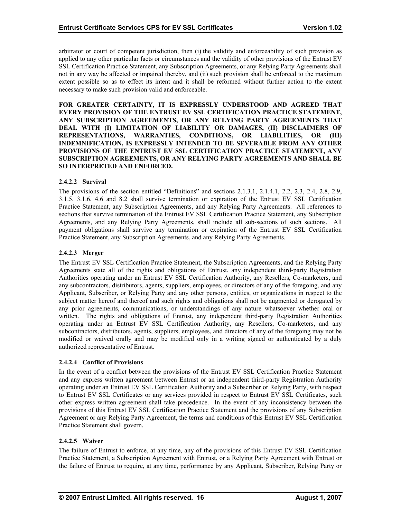arbitrator or court of competent jurisdiction, then (i) the validity and enforceability of such provision as applied to any other particular facts or circumstances and the validity of other provisions of the Entrust EV SSL Certification Practice Statement, any Subscription Agreements, or any Relying Party Agreements shall not in any way be affected or impaired thereby, and (ii) such provision shall be enforced to the maximum extent possible so as to effect its intent and it shall be reformed without further action to the extent necessary to make such provision valid and enforceable.

**FOR GREATER CERTAINTY, IT IS EXPRESSLY UNDERSTOOD AND AGREED THAT EVERY PROVISION OF THE ENTRUST EV SSL CERTIFICATION PRACTICE STATEMENT, ANY SUBSCRIPTION AGREEMENTS, OR ANY RELYING PARTY AGREEMENTS THAT DEAL WITH (I) LIMITATION OF LIABILITY OR DAMAGES, (II) DISCLAIMERS OF REPRESENTATIONS, WARRANTIES, CONDITIONS, OR LIABILITIES, OR (III) INDEMNIFICATION, IS EXPRESSLY INTENDED TO BE SEVERABLE FROM ANY OTHER PROVISIONS OF THE ENTRUST EV SSL CERTIFICATION PRACTICE STATEMENT, ANY SUBSCRIPTION AGREEMENTS, OR ANY RELYING PARTY AGREEMENTS AND SHALL BE SO INTERPRETED AND ENFORCED.** 

# **2.4.2.2 Survival**

The provisions of the section entitled "Definitions" and sections 2.1.3.1, 2.1.4.1, 2.2, 2.3, 2.4, 2.8, 2.9, 3.1.5, 3.1.6, 4.6 and 8.2 shall survive termination or expiration of the Entrust EV SSL Certification Practice Statement, any Subscription Agreements, and any Relying Party Agreements. All references to sections that survive termination of the Entrust EV SSL Certification Practice Statement, any Subscription Agreements, and any Relying Party Agreements, shall include all sub-sections of such sections. All payment obligations shall survive any termination or expiration of the Entrust EV SSL Certification Practice Statement, any Subscription Agreements, and any Relying Party Agreements.

# **2.4.2.3 Merger**

The Entrust EV SSL Certification Practice Statement, the Subscription Agreements, and the Relying Party Agreements state all of the rights and obligations of Entrust, any independent third-party Registration Authorities operating under an Entrust EV SSL Certification Authority, any Resellers, Co-marketers, and any subcontractors, distributors, agents, suppliers, employees, or directors of any of the foregoing, and any Applicant, Subscriber, or Relying Party and any other persons, entities, or organizations in respect to the subject matter hereof and thereof and such rights and obligations shall not be augmented or derogated by any prior agreements, communications, or understandings of any nature whatsoever whether oral or written. The rights and obligations of Entrust, any independent third-party Registration Authorities operating under an Entrust EV SSL Certification Authority, any Resellers, Co-marketers, and any subcontractors, distributors, agents, suppliers, employees, and directors of any of the foregoing may not be modified or waived orally and may be modified only in a writing signed or authenticated by a duly authorized representative of Entrust.

#### **2.4.2.4 Conflict of Provisions**

In the event of a conflict between the provisions of the Entrust EV SSL Certification Practice Statement and any express written agreement between Entrust or an independent third-party Registration Authority operating under an Entrust EV SSL Certification Authority and a Subscriber or Relying Party, with respect to Entrust EV SSL Certificates or any services provided in respect to Entrust EV SSL Certificates, such other express written agreement shall take precedence. In the event of any inconsistency between the provisions of this Entrust EV SSL Certification Practice Statement and the provisions of any Subscription Agreement or any Relying Party Agreement, the terms and conditions of this Entrust EV SSL Certification Practice Statement shall govern.

# **2.4.2.5 Waiver**

The failure of Entrust to enforce, at any time, any of the provisions of this Entrust EV SSL Certification Practice Statement, a Subscription Agreement with Entrust, or a Relying Party Agreement with Entrust or the failure of Entrust to require, at any time, performance by any Applicant, Subscriber, Relying Party or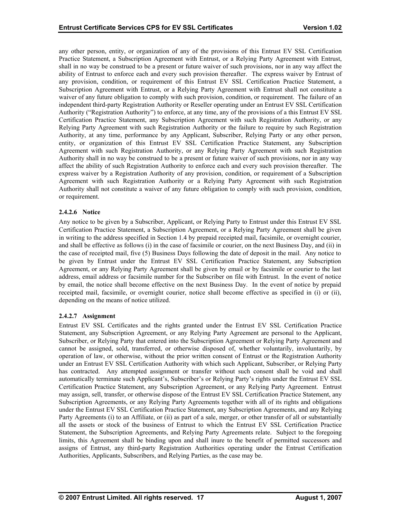any other person, entity, or organization of any of the provisions of this Entrust EV SSL Certification Practice Statement, a Subscription Agreement with Entrust, or a Relying Party Agreement with Entrust, shall in no way be construed to be a present or future waiver of such provisions, nor in any way affect the ability of Entrust to enforce each and every such provision thereafter. The express waiver by Entrust of any provision, condition, or requirement of this Entrust EV SSL Certification Practice Statement, a Subscription Agreement with Entrust, or a Relying Party Agreement with Entrust shall not constitute a waiver of any future obligation to comply with such provision, condition, or requirement. The failure of an independent third-party Registration Authority or Reseller operating under an Entrust EV SSL Certification Authority ("Registration Authority") to enforce, at any time, any of the provisions of a this Entrust EV SSL Certification Practice Statement, any Subscription Agreement with such Registration Authority, or any Relying Party Agreement with such Registration Authority or the failure to require by such Registration Authority, at any time, performance by any Applicant, Subscriber, Relying Party or any other person, entity, or organization of this Entrust EV SSL Certification Practice Statement, any Subscription Agreement with such Registration Authority, or any Relying Party Agreement with such Registration Authority shall in no way be construed to be a present or future waiver of such provisions, nor in any way affect the ability of such Registration Authority to enforce each and every such provision thereafter. The express waiver by a Registration Authority of any provision, condition, or requirement of a Subscription Agreement with such Registration Authority or a Relying Party Agreement with such Registration Authority shall not constitute a waiver of any future obligation to comply with such provision, condition, or requirement.

# **2.4.2.6 Notice**

Any notice to be given by a Subscriber, Applicant, or Relying Party to Entrust under this Entrust EV SSL Certification Practice Statement, a Subscription Agreement, or a Relying Party Agreement shall be given in writing to the address specified in Section 1.4 by prepaid receipted mail, facsimile, or overnight courier, and shall be effective as follows (i) in the case of facsimile or courier, on the next Business Day, and (ii) in the case of receipted mail, five (5) Business Days following the date of deposit in the mail. Any notice to be given by Entrust under the Entrust EV SSL Certification Practice Statement, any Subscription Agreement, or any Relying Party Agreement shall be given by email or by facsimile or courier to the last address, email address or facsimile number for the Subscriber on file with Entrust. In the event of notice by email, the notice shall become effective on the next Business Day. In the event of notice by prepaid receipted mail, facsimile, or overnight courier, notice shall become effective as specified in (i) or (ii), depending on the means of notice utilized.

# **2.4.2.7 Assignment**

Entrust EV SSL Certificates and the rights granted under the Entrust EV SSL Certification Practice Statement, any Subscription Agreement, or any Relying Party Agreement are personal to the Applicant, Subscriber, or Relying Party that entered into the Subscription Agreement or Relying Party Agreement and cannot be assigned, sold, transferred, or otherwise disposed of, whether voluntarily, involuntarily, by operation of law, or otherwise, without the prior written consent of Entrust or the Registration Authority under an Entrust EV SSL Certification Authority with which such Applicant, Subscriber, or Relying Party has contracted. Any attempted assignment or transfer without such consent shall be void and shall automatically terminate such Applicant's, Subscriber's or Relying Party's rights under the Entrust EV SSL Certification Practice Statement, any Subscription Agreement, or any Relying Party Agreement. Entrust may assign, sell, transfer, or otherwise dispose of the Entrust EV SSL Certification Practice Statement, any Subscription Agreements, or any Relying Party Agreements together with all of its rights and obligations under the Entrust EV SSL Certification Practice Statement, any Subscription Agreements, and any Relying Party Agreements (i) to an Affiliate, or (ii) as part of a sale, merger, or other transfer of all or substantially all the assets or stock of the business of Entrust to which the Entrust EV SSL Certification Practice Statement, the Subscription Agreements, and Relying Party Agreements relate. Subject to the foregoing limits, this Agreement shall be binding upon and shall inure to the benefit of permitted successors and assigns of Entrust, any third-party Registration Authorities operating under the Entrust Certification Authorities, Applicants, Subscribers, and Relying Parties, as the case may be.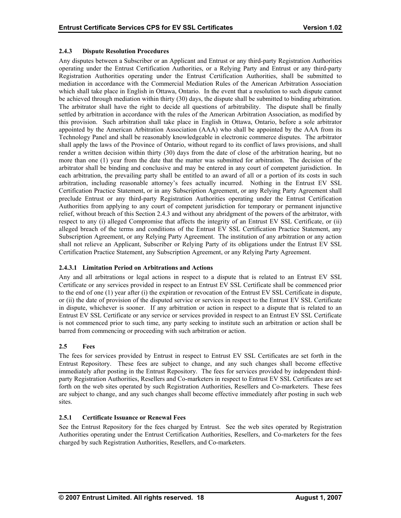# <span id="page-22-0"></span>**2.4.3 Dispute Resolution Procedures**

Any disputes between a Subscriber or an Applicant and Entrust or any third-party Registration Authorities operating under the Entrust Certification Authorities, or a Relying Party and Entrust or any third-party Registration Authorities operating under the Entrust Certification Authorities, shall be submitted to mediation in accordance with the Commercial Mediation Rules of the American Arbitration Association which shall take place in English in Ottawa, Ontario. In the event that a resolution to such dispute cannot be achieved through mediation within thirty (30) days, the dispute shall be submitted to binding arbitration. The arbitrator shall have the right to decide all questions of arbitrability. The dispute shall be finally settled by arbitration in accordance with the rules of the American Arbitration Association, as modified by this provision. Such arbitration shall take place in English in Ottawa, Ontario, before a sole arbitrator appointed by the American Arbitration Association (AAA) who shall be appointed by the AAA from its Technology Panel and shall be reasonably knowledgeable in electronic commerce disputes. The arbitrator shall apply the laws of the Province of Ontario, without regard to its conflict of laws provisions, and shall render a written decision within thirty (30) days from the date of close of the arbitration hearing, but no more than one (1) year from the date that the matter was submitted for arbitration. The decision of the arbitrator shall be binding and conclusive and may be entered in any court of competent jurisdiction. In each arbitration, the prevailing party shall be entitled to an award of all or a portion of its costs in such arbitration, including reasonable attorney's fees actually incurred. Nothing in the Entrust EV SSL Certification Practice Statement, or in any Subscription Agreement, or any Relying Party Agreement shall preclude Entrust or any third-party Registration Authorities operating under the Entrust Certification Authorities from applying to any court of competent jurisdiction for temporary or permanent injunctive relief, without breach of this Section 2.4.3 and without any abridgment of the powers of the arbitrator, with respect to any (i) alleged Compromise that affects the integrity of an Entrust EV SSL Certificate, or (ii) alleged breach of the terms and conditions of the Entrust EV SSL Certification Practice Statement, any Subscription Agreement, or any Relying Party Agreement. The institution of any arbitration or any action shall not relieve an Applicant, Subscriber or Relying Party of its obligations under the Entrust EV SSL Certification Practice Statement, any Subscription Agreement, or any Relying Party Agreement.

# **2.4.3.1 Limitation Period on Arbitrations and Actions**

Any and all arbitrations or legal actions in respect to a dispute that is related to an Entrust EV SSL Certificate or any services provided in respect to an Entrust EV SSL Certificate shall be commenced prior to the end of one (1) year after (i) the expiration or revocation of the Entrust EV SSL Certificate in dispute, or (ii) the date of provision of the disputed service or services in respect to the Entrust EV SSL Certificate in dispute, whichever is sooner. If any arbitration or action in respect to a dispute that is related to an Entrust EV SSL Certificate or any service or services provided in respect to an Entrust EV SSL Certificate is not commenced prior to such time, any party seeking to institute such an arbitration or action shall be barred from commencing or proceeding with such arbitration or action.

# **2.5 Fees**

The fees for services provided by Entrust in respect to Entrust EV SSL Certificates are set forth in the Entrust Repository. These fees are subject to change, and any such changes shall become effective immediately after posting in the Entrust Repository. The fees for services provided by independent thirdparty Registration Authorities, Resellers and Co-marketers in respect to Entrust EV SSL Certificates are set forth on the web sites operated by such Registration Authorities, Resellers and Co-marketers. These fees are subject to change, and any such changes shall become effective immediately after posting in such web sites.

# **2.5.1 Certificate Issuance or Renewal Fees**

See the Entrust Repository for the fees charged by Entrust. See the web sites operated by Registration Authorities operating under the Entrust Certification Authorities, Resellers, and Co-marketers for the fees charged by such Registration Authorities, Resellers, and Co-marketers.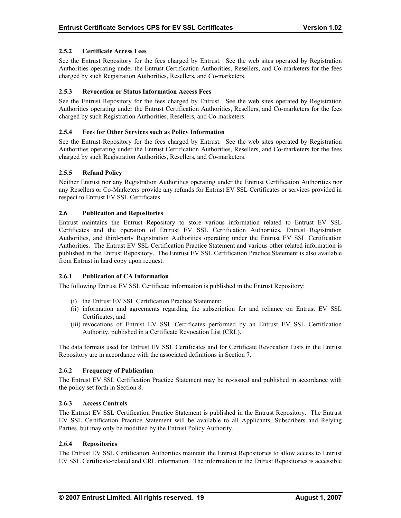# <span id="page-23-0"></span>**2.5.2 Certificate Access Fees**

See the Entrust Repository for the fees charged by Entrust. See the web sites operated by Registration Authorities operating under the Entrust Certification Authorities, Resellers, and Co-marketers for the fees charged by such Registration Authorities, Resellers, and Co-marketers.

# **2.5.3 Revocation or Status Information Access Fees**

See the Entrust Repository for the fees charged by Entrust. See the web sites operated by Registration Authorities operating under the Entrust Certification Authorities, Resellers, and Co-marketers for the fees charged by such Registration Authorities, Resellers, and Co-marketers.

## **2.5.4 Fees for Other Services such as Policy Information**

See the Entrust Repository for the fees charged by Entrust. See the web sites operated by Registration Authorities operating under the Entrust Certification Authorities, Resellers, and Co-marketers for the fees charged by such Registration Authorities, Resellers, and Co-marketers.

# **2.5.5 Refund Policy**

Neither Entrust nor any Registration Authorities operating under the Entrust Certification Authorities nor any Resellers or Co-Marketers provide any refunds for Entrust EV SSL Certificates or services provided in respect to Entrust EV SSL Certificates.

#### **2.6 Publication and Repositories**

Entrust maintains the Entrust Repository to store various information related to Entrust EV SSL Certificates and the operation of Entrust EV SSL Certification Authorities, Entrust Registration Authorities, and third-party Registration Authorities operating under the Entrust EV SSL Certification Authorities. The Entrust EV SSL Certification Practice Statement and various other related information is published in the Entrust Repository. The Entrust EV SSL Certification Practice Statement is also available from Entrust in hard copy upon request.

#### **2.6.1 Publication of CA Information**

The following Entrust EV SSL Certificate information is published in the Entrust Repository:

- (i) the Entrust EV SSL Certification Practice Statement;
- (ii) information and agreements regarding the subscription for and reliance on Entrust EV SSL Certificates; and
- (iii) revocations of Entrust EV SSL Certificates performed by an Entrust EV SSL Certification Authority, published in a Certificate Revocation List (CRL).

The data formats used for Entrust EV SSL Certificates and for Certificate Revocation Lists in the Entrust Repository are in accordance with the associated definitions in Section 7.

# **2.6.2 Frequency of Publication**

The Entrust EV SSL Certification Practice Statement may be re-issued and published in accordance with the policy set forth in Section 8.

#### **2.6.3 Access Controls**

The Entrust EV SSL Certification Practice Statement is published in the Entrust Repository. The Entrust EV SSL Certification Practice Statement will be available to all Applicants, Subscribers and Relying Parties, but may only be modified by the Entrust Policy Authority.

#### **2.6.4 Repositories**

The Entrust EV SSL Certification Authorities maintain the Entrust Repositories to allow access to Entrust EV SSL Certificate-related and CRL information. The information in the Entrust Repositories is accessible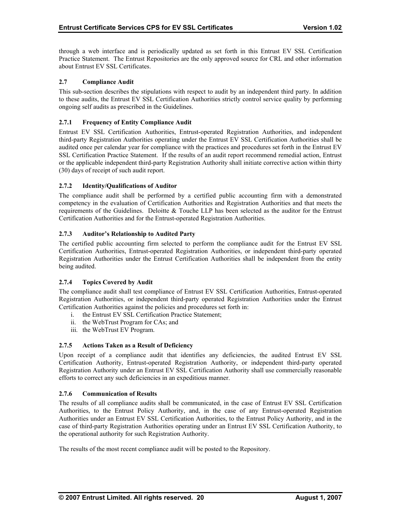<span id="page-24-0"></span>through a web interface and is periodically updated as set forth in this Entrust EV SSL Certification Practice Statement. The Entrust Repositories are the only approved source for CRL and other information about Entrust EV SSL Certificates.

## **2.7 Compliance Audit**

This sub-section describes the stipulations with respect to audit by an independent third party. In addition to these audits, the Entrust EV SSL Certification Authorities strictly control service quality by performing ongoing self audits as prescribed in the Guidelines.

# **2.7.1 Frequency of Entity Compliance Audit**

Entrust EV SSL Certification Authorities, Entrust-operated Registration Authorities, and independent third-party Registration Authorities operating under the Entrust EV SSL Certification Authorities shall be audited once per calendar year for compliance with the practices and procedures set forth in the Entrust EV SSL Certification Practice Statement. If the results of an audit report recommend remedial action, Entrust or the applicable independent third-party Registration Authority shall initiate corrective action within thirty (30) days of receipt of such audit report.

# **2.7.2 Identity/Qualifications of Auditor**

The compliance audit shall be performed by a certified public accounting firm with a demonstrated competency in the evaluation of Certification Authorities and Registration Authorities and that meets the requirements of the Guidelines. Deloitte & Touche LLP has been selected as the auditor for the Entrust Certification Authorities and for the Entrust-operated Registration Authorities.

# **2.7.3 Auditor's Relationship to Audited Party**

The certified public accounting firm selected to perform the compliance audit for the Entrust EV SSL Certification Authorities, Entrust-operated Registration Authorities, or independent third-party operated Registration Authorities under the Entrust Certification Authorities shall be independent from the entity being audited.

#### **2.7.4 Topics Covered by Audit**

The compliance audit shall test compliance of Entrust EV SSL Certification Authorities, Entrust-operated Registration Authorities, or independent third-party operated Registration Authorities under the Entrust Certification Authorities against the policies and procedures set forth in:

- i. the Entrust EV SSL Certification Practice Statement;
- ii. the WebTrust Program for CAs; and
- iii. the WebTrust EV Program.

#### **2.7.5 Actions Taken as a Result of Deficiency**

Upon receipt of a compliance audit that identifies any deficiencies, the audited Entrust EV SSL Certification Authority, Entrust-operated Registration Authority, or independent third-party operated Registration Authority under an Entrust EV SSL Certification Authority shall use commercially reasonable efforts to correct any such deficiencies in an expeditious manner.

#### **2.7.6 Communication of Results**

The results of all compliance audits shall be communicated, in the case of Entrust EV SSL Certification Authorities, to the Entrust Policy Authority, and, in the case of any Entrust-operated Registration Authorities under an Entrust EV SSL Certification Authorities, to the Entrust Policy Authority, and in the case of third-party Registration Authorities operating under an Entrust EV SSL Certification Authority, to the operational authority for such Registration Authority.

The results of the most recent compliance audit will be posted to the Repository.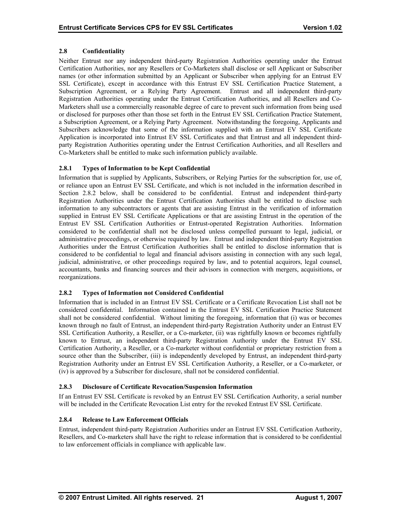# <span id="page-25-0"></span>**2.8 Confidentiality**

Neither Entrust nor any independent third-party Registration Authorities operating under the Entrust Certification Authorities, nor any Resellers or Co-Marketers shall disclose or sell Applicant or Subscriber names (or other information submitted by an Applicant or Subscriber when applying for an Entrust EV SSL Certificate), except in accordance with this Entrust EV SSL Certification Practice Statement, a Subscription Agreement, or a Relying Party Agreement. Entrust and all independent third-party Registration Authorities operating under the Entrust Certification Authorities, and all Resellers and Co-Marketers shall use a commercially reasonable degree of care to prevent such information from being used or disclosed for purposes other than those set forth in the Entrust EV SSL Certification Practice Statement, a Subscription Agreement, or a Relying Party Agreement. Notwithstanding the foregoing, Applicants and Subscribers acknowledge that some of the information supplied with an Entrust EV SSL Certificate Application is incorporated into Entrust EV SSL Certificates and that Entrust and all independent thirdparty Registration Authorities operating under the Entrust Certification Authorities, and all Resellers and Co-Marketers shall be entitled to make such information publicly available.

# **2.8.1 Types of Information to be Kept Confidential**

Information that is supplied by Applicants, Subscribers, or Relying Parties for the subscription for, use of, or reliance upon an Entrust EV SSL Certificate, and which is not included in the information described in Section 2.8.2 below, shall be considered to be confidential. Entrust and independent third-party Registration Authorities under the Entrust Certification Authorities shall be entitled to disclose such information to any subcontractors or agents that are assisting Entrust in the verification of information supplied in Entrust EV SSL Certificate Applications or that are assisting Entrust in the operation of the Entrust EV SSL Certification Authorities or Entrust-operated Registration Authorities. Information considered to be confidential shall not be disclosed unless compelled pursuant to legal, judicial, or administrative proceedings, or otherwise required by law. Entrust and independent third-party Registration Authorities under the Entrust Certification Authorities shall be entitled to disclose information that is considered to be confidential to legal and financial advisors assisting in connection with any such legal, judicial, administrative, or other proceedings required by law, and to potential acquirors, legal counsel, accountants, banks and financing sources and their advisors in connection with mergers, acquisitions, or reorganizations.

# **2.8.2 Types of Information not Considered Confidential**

Information that is included in an Entrust EV SSL Certificate or a Certificate Revocation List shall not be considered confidential. Information contained in the Entrust EV SSL Certification Practice Statement shall not be considered confidential. Without limiting the foregoing, information that (i) was or becomes known through no fault of Entrust, an independent third-party Registration Authority under an Entrust EV SSL Certification Authority, a Reseller, or a Co-marketer, (ii) was rightfully known or becomes rightfully known to Entrust, an independent third-party Registration Authority under the Entrust EV SSL Certification Authority, a Reseller, or a Co-marketer without confidential or proprietary restriction from a source other than the Subscriber, (iii) is independently developed by Entrust, an independent third-party Registration Authority under an Entrust EV SSL Certification Authority, a Reseller, or a Co-marketer, or (iv) is approved by a Subscriber for disclosure, shall not be considered confidential.

# **2.8.3 Disclosure of Certificate Revocation/Suspension Information**

If an Entrust EV SSL Certificate is revoked by an Entrust EV SSL Certification Authority, a serial number will be included in the Certificate Revocation List entry for the revoked Entrust EV SSL Certificate.

# **2.8.4 Release to Law Enforcement Officials**

Entrust, independent third-party Registration Authorities under an Entrust EV SSL Certification Authority, Resellers, and Co-marketers shall have the right to release information that is considered to be confidential to law enforcement officials in compliance with applicable law.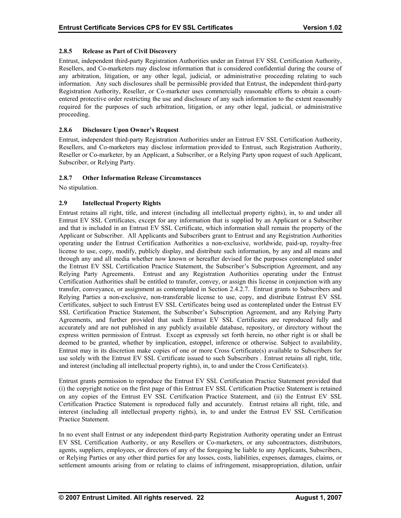# <span id="page-26-0"></span>**2.8.5 Release as Part of Civil Discovery**

Entrust, independent third-party Registration Authorities under an Entrust EV SSL Certification Authority, Resellers, and Co-marketers may disclose information that is considered confidential during the course of any arbitration, litigation, or any other legal, judicial, or administrative proceeding relating to such information. Any such disclosures shall be permissible provided that Entrust, the independent third-party Registration Authority, Reseller, or Co-marketer uses commercially reasonable efforts to obtain a courtentered protective order restricting the use and disclosure of any such information to the extent reasonably required for the purposes of such arbitration, litigation, or any other legal, judicial, or administrative proceeding.

# **2.8.6 Disclosure Upon Owner's Request**

Entrust, independent third-party Registration Authorities under an Entrust EV SSL Certification Authority, Resellers, and Co-marketers may disclose information provided to Entrust, such Registration Authority, Reseller or Co-marketer, by an Applicant, a Subscriber, or a Relying Party upon request of such Applicant, Subscriber, or Relying Party.

# **2.8.7 Other Information Release Circumstances**

No stipulation.

# **2.9 Intellectual Property Rights**

Entrust retains all right, title, and interest (including all intellectual property rights), in, to and under all Entrust EV SSL Certificates, except for any information that is supplied by an Applicant or a Subscriber and that is included in an Entrust EV SSL Certificate, which information shall remain the property of the Applicant or Subscriber. All Applicants and Subscribers grant to Entrust and any Registration Authorities operating under the Entrust Certification Authorities a non-exclusive, worldwide, paid-up, royalty-free license to use, copy, modify, publicly display, and distribute such information, by any and all means and through any and all media whether now known or hereafter devised for the purposes contemplated under the Entrust EV SSL Certification Practice Statement, the Subscriber's Subscription Agreement, and any Relying Party Agreements. Entrust and any Registration Authorities operating under the Entrust Certification Authorities shall be entitled to transfer, convey, or assign this license in conjunction with any transfer, conveyance, or assignment as contemplated in Section 2.4.2.7. Entrust grants to Subscribers and Relying Parties a non-exclusive, non-transferable license to use, copy, and distribute Entrust EV SSL Certificates, subject to such Entrust EV SSL Certificates being used as contemplated under the Entrust EV SSL Certification Practice Statement, the Subscriber's Subscription Agreement, and any Relying Party Agreements, and further provided that such Entrust EV SSL Certificates are reproduced fully and accurately and are not published in any publicly available database, repository, or directory without the express written permission of Entrust. Except as expressly set forth herein, no other right is or shall be deemed to be granted, whether by implication, estoppel, inference or otherwise. Subject to availability, Entrust may in its discretion make copies of one or more Cross Certificate(s) available to Subscribers for use solely with the Entrust EV SSL Certificate issued to such Subscribers . Entrust retains all right, title, and interest (including all intellectual property rights), in, to and under the Cross Certificate(s).

Entrust grants permission to reproduce the Entrust EV SSL Certification Practice Statement provided that (i) the copyright notice on the first page of this Entrust EV SSL Certification Practice Statement is retained on any copies of the Entrust EV SSL Certification Practice Statement, and (ii) the Entrust EV SSL Certification Practice Statement is reproduced fully and accurately. Entrust retains all right, title, and interest (including all intellectual property rights), in, to and under the Entrust EV SSL Certification Practice Statement.

In no event shall Entrust or any independent third-party Registration Authority operating under an Entrust EV SSL Certification Authority, or any Resellers or Co-marketers, or any subcontractors, distributors, agents, suppliers, employees, or directors of any of the foregoing be liable to any Applicants, Subscribers, or Relying Parties or any other third parties for any losses, costs, liabilities, expenses, damages, claims, or settlement amounts arising from or relating to claims of infringement, misappropriation, dilution, unfair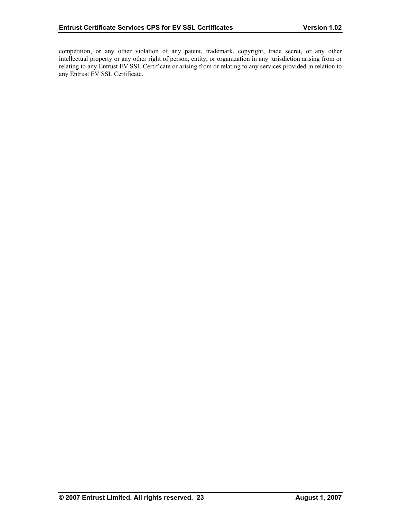competition, or any other violation of any patent, trademark, copyright, trade secret, or any other intellectual property or any other right of person, entity, or organization in any jurisdiction arising from or relating to any Entrust EV SSL Certificate or arising from or relating to any services provided in relation to any Entrust EV SSL Certificate.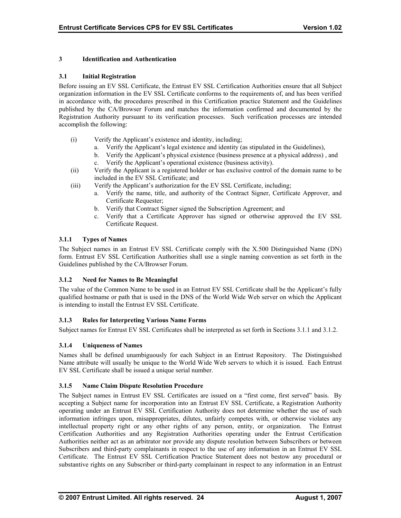# <span id="page-28-0"></span>**3 Identification and Authentication**

#### **3.1 Initial Registration**

Before issuing an EV SSL Certificate, the Entrust EV SSL Certification Authorities ensure that all Subject organization information in the EV SSL Certificate conforms to the requirements of, and has been verified in accordance with, the procedures prescribed in this Certification practice Statement and the Guidelines published by the CA/Browser Forum and matches the information confirmed and documented by the Registration Authority pursuant to its verification processes. Such verification processes are intended accomplish the following:

- (i) Verify the Applicant's existence and identity, including;
	- a. Verify the Applicant's legal existence and identity (as stipulated in the Guidelines),
	- b. Verify the Applicant's physical existence (business presence at a physical address) , and
	- c. Verify the Applicant's operational existence (business activity).
- (ii) Verify the Applicant is a registered holder or has exclusive control of the domain name to be included in the EV SSL Certificate; and
- (iii) Verify the Applicant's authorization for the EV SSL Certificate, including;
	- a. Verify the name, title, and authority of the Contract Signer, Certificate Approver, and Certificate Requester;
	- b. Verify that Contract Signer signed the Subscription Agreement; and
	- c. Verify that a Certificate Approver has signed or otherwise approved the EV SSL Certificate Request.

# **3.1.1 Types of Names**

The Subject names in an Entrust EV SSL Certificate comply with the X.500 Distinguished Name (DN) form. Entrust EV SSL Certification Authorities shall use a single naming convention as set forth in the Guidelines published by the CA/Browser Forum.

#### **3.1.2 Need for Names to Be Meaningful**

The value of the Common Name to be used in an Entrust EV SSL Certificate shall be the Applicant's fully qualified hostname or path that is used in the DNS of the World Wide Web server on which the Applicant is intending to install the Entrust EV SSL Certificate.

#### **3.1.3 Rules for Interpreting Various Name Forms**

Subject names for Entrust EV SSL Certificates shall be interpreted as set forth in Sections 3.1.1 and 3.1.2.

#### **3.1.4 Uniqueness of Names**

Names shall be defined unambiguously for each Subject in an Entrust Repository. The Distinguished Name attribute will usually be unique to the World Wide Web servers to which it is issued. Each Entrust EV SSL Certificate shall be issued a unique serial number.

## **3.1.5 Name Claim Dispute Resolution Procedure**

The Subject names in Entrust EV SSL Certificates are issued on a "first come, first served" basis. By accepting a Subject name for incorporation into an Entrust EV SSL Certificate, a Registration Authority operating under an Entrust EV SSL Certification Authority does not determine whether the use of such information infringes upon, misappropriates, dilutes, unfairly competes with, or otherwise violates any intellectual property right or any other rights of any person, entity, or organization. The Entrust Certification Authorities and any Registration Authorities operating under the Entrust Certification Authorities neither act as an arbitrator nor provide any dispute resolution between Subscribers or between Subscribers and third-party complainants in respect to the use of any information in an Entrust EV SSL Certificate. The Entrust EV SSL Certification Practice Statement does not bestow any procedural or substantive rights on any Subscriber or third-party complainant in respect to any information in an Entrust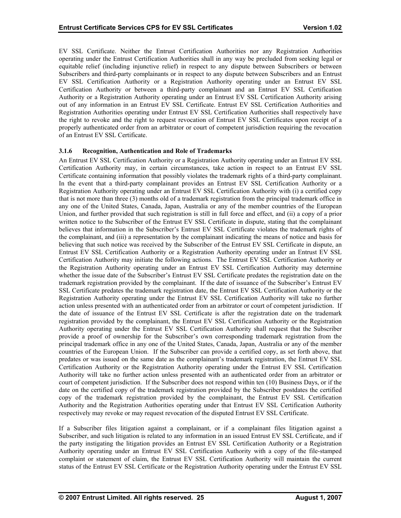<span id="page-29-0"></span>EV SSL Certificate. Neither the Entrust Certification Authorities nor any Registration Authorities operating under the Entrust Certification Authorities shall in any way be precluded from seeking legal or equitable relief (including injunctive relief) in respect to any dispute between Subscribers or between Subscribers and third-party complainants or in respect to any dispute between Subscribers and an Entrust EV SSL Certification Authority or a Registration Authority operating under an Entrust EV SSL Certification Authority or between a third-party complainant and an Entrust EV SSL Certification Authority or a Registration Authority operating under an Entrust EV SSL Certification Authority arising out of any information in an Entrust EV SSL Certificate. Entrust EV SSL Certification Authorities and Registration Authorities operating under Entrust EV SSL Certification Authorities shall respectively have the right to revoke and the right to request revocation of Entrust EV SSL Certificates upon receipt of a properly authenticated order from an arbitrator or court of competent jurisdiction requiring the revocation of an Entrust EV SSL Certificate.

# **3.1.6 Recognition, Authentication and Role of Trademarks**

An Entrust EV SSL Certification Authority or a Registration Authority operating under an Entrust EV SSL Certification Authority may, in certain circumstances, take action in respect to an Entrust EV SSL Certificate containing information that possibly violates the trademark rights of a third-party complainant. In the event that a third-party complainant provides an Entrust EV SSL Certification Authority or a Registration Authority operating under an Entrust EV SSL Certification Authority with (i) a certified copy that is not more than three (3) months old of a trademark registration from the principal trademark office in any one of the United States, Canada, Japan, Australia or any of the member countries of the European Union, and further provided that such registration is still in full force and effect, and (ii) a copy of a prior written notice to the Subscriber of the Entrust EV SSL Certificate in dispute, stating that the complainant believes that information in the Subscriber's Entrust EV SSL Certificate violates the trademark rights of the complainant, and (iii) a representation by the complainant indicating the means of notice and basis for believing that such notice was received by the Subscriber of the Entrust EV SSL Certificate in dispute, an Entrust EV SSL Certification Authority or a Registration Authority operating under an Entrust EV SSL Certification Authority may initiate the following actions. The Entrust EV SSL Certification Authority or the Registration Authority operating under an Entrust EV SSL Certification Authority may determine whether the issue date of the Subscriber's Entrust EV SSL Certificate predates the registration date on the trademark registration provided by the complainant. If the date of issuance of the Subscriber's Entrust EV SSL Certificate predates the trademark registration date, the Entrust EV SSL Certification Authority or the Registration Authority operating under the Entrust EV SSL Certification Authority will take no further action unless presented with an authenticated order from an arbitrator or court of competent jurisdiction. If the date of issuance of the Entrust EV SSL Certificate is after the registration date on the trademark registration provided by the complainant, the Entrust EV SSL Certification Authority or the Registration Authority operating under the Entrust EV SSL Certification Authority shall request that the Subscriber provide a proof of ownership for the Subscriber's own corresponding trademark registration from the principal trademark office in any one of the United States, Canada, Japan, Australia or any of the member countries of the European Union. If the Subscriber can provide a certified copy, as set forth above, that predates or was issued on the same date as the complainant's trademark registration, the Entrust EV SSL Certification Authority or the Registration Authority operating under the Entrust EV SSL Certification Authority will take no further action unless presented with an authenticated order from an arbitrator or court of competent jurisdiction. If the Subscriber does not respond within ten (10) Business Days, or if the date on the certified copy of the trademark registration provided by the Subscriber postdates the certified copy of the trademark registration provided by the complainant, the Entrust EV SSL Certification Authority and the Registration Authorities operating under that Entrust EV SSL Certification Authority respectively may revoke or may request revocation of the disputed Entrust EV SSL Certificate.

If a Subscriber files litigation against a complainant, or if a complainant files litigation against a Subscriber, and such litigation is related to any information in an issued Entrust EV SSL Certificate, and if the party instigating the litigation provides an Entrust EV SSL Certification Authority or a Registration Authority operating under an Entrust EV SSL Certification Authority with a copy of the file-stamped complaint or statement of claim, the Entrust EV SSL Certification Authority will maintain the current status of the Entrust EV SSL Certificate or the Registration Authority operating under the Entrust EV SSL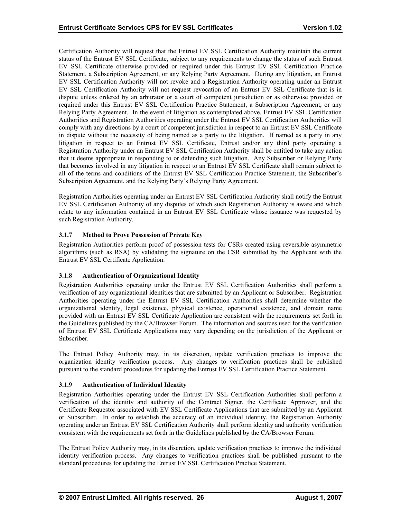<span id="page-30-0"></span>Certification Authority will request that the Entrust EV SSL Certification Authority maintain the current status of the Entrust EV SSL Certificate, subject to any requirements to change the status of such Entrust EV SSL Certificate otherwise provided or required under this Entrust EV SSL Certification Practice Statement, a Subscription Agreement, or any Relying Party Agreement. During any litigation, an Entrust EV SSL Certification Authority will not revoke and a Registration Authority operating under an Entrust EV SSL Certification Authority will not request revocation of an Entrust EV SSL Certificate that is in dispute unless ordered by an arbitrator or a court of competent jurisdiction or as otherwise provided or required under this Entrust EV SSL Certification Practice Statement, a Subscription Agreement, or any Relying Party Agreement. In the event of litigation as contemplated above, Entrust EV SSL Certification Authorities and Registration Authorities operating under the Entrust EV SSL Certification Authorities will comply with any directions by a court of competent jurisdiction in respect to an Entrust EV SSL Certificate in dispute without the necessity of being named as a party to the litigation. If named as a party in any litigation in respect to an Entrust EV SSL Certificate, Entrust and/or any third party operating a Registration Authority under an Entrust EV SSL Certification Authority shall be entitled to take any action that it deems appropriate in responding to or defending such litigation. Any Subscriber or Relying Party that becomes involved in any litigation in respect to an Entrust EV SSL Certificate shall remain subject to all of the terms and conditions of the Entrust EV SSL Certification Practice Statement, the Subscriber's Subscription Agreement, and the Relying Party's Relying Party Agreement.

Registration Authorities operating under an Entrust EV SSL Certification Authority shall notify the Entrust EV SSL Certification Authority of any disputes of which such Registration Authority is aware and which relate to any information contained in an Entrust EV SSL Certificate whose issuance was requested by such Registration Authority.

# **3.1.7 Method to Prove Possession of Private Key**

Registration Authorities perform proof of possession tests for CSRs created using reversible asymmetric algorithms (such as RSA) by validating the signature on the CSR submitted by the Applicant with the Entrust EV SSL Certificate Application.

# **3.1.8 Authentication of Organizational Identity**

Registration Authorities operating under the Entrust EV SSL Certification Authorities shall perform a verification of any organizational identities that are submitted by an Applicant or Subscriber. Registration Authorities operating under the Entrust EV SSL Certification Authorities shall determine whether the organizational identity, legal existence, physical existence, operational existence, and domain name provided with an Entrust EV SSL Certificate Application are consistent with the requirements set forth in the Guidelines published by the CA/Browser Forum. The information and sources used for the verification of Entrust EV SSL Certificate Applications may vary depending on the jurisdiction of the Applicant or Subscriber.

The Entrust Policy Authority may, in its discretion, update verification practices to improve the organization identity verification process. Any changes to verification practices shall be published pursuant to the standard procedures for updating the Entrust EV SSL Certification Practice Statement.

# **3.1.9 Authentication of Individual Identity**

Registration Authorities operating under the Entrust EV SSL Certification Authorities shall perform a verification of the identity and authority of the Contract Signer, the Certificate Approver, and the Certificate Requestor associated with EV SSL Certificate Applications that are submitted by an Applicant or Subscriber. In order to establish the accuracy of an individual identity, the Registration Authority operating under an Entrust EV SSL Certification Authority shall perform identity and authority verification consistent with the requirements set forth in the Guidelines published by the CA/Browser Forum.

The Entrust Policy Authority may, in its discretion, update verification practices to improve the individual identity verification process. Any changes to verification practices shall be published pursuant to the standard procedures for updating the Entrust EV SSL Certification Practice Statement.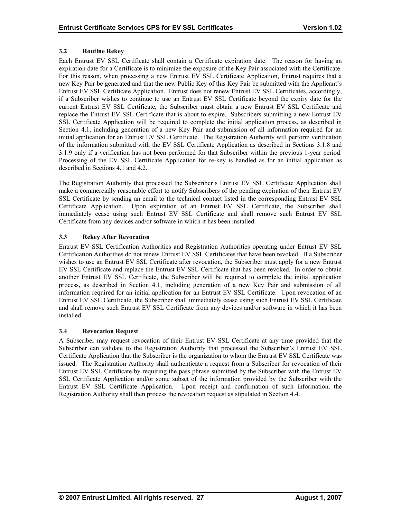# <span id="page-31-0"></span>**3.2 Routine Rekey**

Each Entrust EV SSL Certificate shall contain a Certificate expiration date. The reason for having an expiration date for a Certificate is to minimize the exposure of the Key Pair associated with the Certificate. For this reason, when processing a new Entrust EV SSL Certificate Application, Entrust requires that a new Key Pair be generated and that the new Public Key of this Key Pair be submitted with the Applicant's Entrust EV SSL Certificate Application. Entrust does not renew Entrust EV SSL Certificates, accordingly, if a Subscriber wishes to continue to use an Entrust EV SSL Certificate beyond the expiry date for the current Entrust EV SSL Certificate, the Subscriber must obtain a new Entrust EV SSL Certificate and replace the Entrust EV SSL Certificate that is about to expire. Subscribers submitting a new Entrust EV SSL Certificate Application will be required to complete the initial application process, as described in Section 4.1, including generation of a new Key Pair and submission of all information required for an initial application for an Entrust EV SSL Certificate. The Registration Authority will perform verification of the information submitted with the EV SSL Certificate Application as described in Sections 3.1.8 and 3.1.9 only if a verification has not been performed for that Subscriber within the previous 1-year period. Processing of the EV SSL Certificate Application for re-key is handled as for an initial application as described in Sections 4.1 and 4.2.

The Registration Authority that processed the Subscriber's Entrust EV SSL Certificate Application shall make a commercially reasonable effort to notify Subscribers of the pending expiration of their Entrust EV SSL Certificate by sending an email to the technical contact listed in the corresponding Entrust EV SSL Certificate Application. Upon expiration of an Entrust EV SSL Certificate, the Subscriber shall immediately cease using such Entrust EV SSL Certificate and shall remove such Entrust EV SSL Certificate from any devices and/or software in which it has been installed.

# **3.3 Rekey After Revocation**

Entrust EV SSL Certification Authorities and Registration Authorities operating under Entrust EV SSL Certification Authorities do not renew Entrust EV SSL Certificates that have been revoked. If a Subscriber wishes to use an Entrust EV SSL Certificate after revocation, the Subscriber must apply for a new Entrust EV SSL Certificate and replace the Entrust EV SSL Certificate that has been revoked. In order to obtain another Entrust EV SSL Certificate, the Subscriber will be required to complete the initial application process, as described in Section 4.1, including generation of a new Key Pair and submission of all information required for an initial application for an Entrust EV SSL Certificate. Upon revocation of an Entrust EV SSL Certificate, the Subscriber shall immediately cease using such Entrust EV SSL Certificate and shall remove such Entrust EV SSL Certificate from any devices and/or software in which it has been installed.

#### **3.4 Revocation Request**

A Subscriber may request revocation of their Entrust EV SSL Certificate at any time provided that the Subscriber can validate to the Registration Authority that processed the Subscriber's Entrust EV SSL Certificate Application that the Subscriber is the organization to whom the Entrust EV SSL Certificate was issued. The Registration Authority shall authenticate a request from a Subscriber for revocation of their Entrust EV SSL Certificate by requiring the pass phrase submitted by the Subscriber with the Entrust EV SSL Certificate Application and/or some subset of the information provided by the Subscriber with the Entrust EV SSL Certificate Application. Upon receipt and confirmation of such information, the Registration Authority shall then process the revocation request as stipulated in Section 4.4.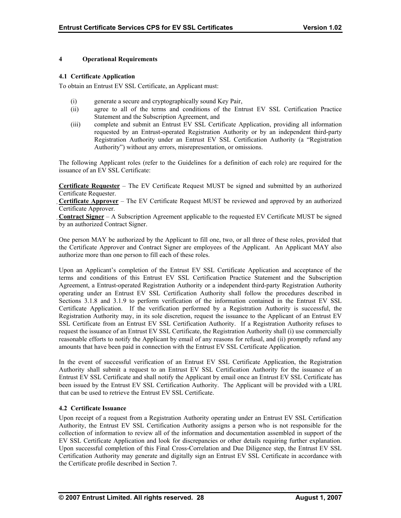# <span id="page-32-0"></span>**4 Operational Requirements**

## **4.1 Certificate Application**

To obtain an Entrust EV SSL Certificate, an Applicant must:

- (i) generate a secure and cryptographically sound Key Pair,
- (ii) agree to all of the terms and conditions of the Entrust EV SSL Certification Practice Statement and the Subscription Agreement, and
- (iii) complete and submit an Entrust EV SSL Certificate Application, providing all information requested by an Entrust-operated Registration Authority or by an independent third-party Registration Authority under an Entrust EV SSL Certification Authority (a "Registration Authority") without any errors, misrepresentation, or omissions.

The following Applicant roles (refer to the Guidelines for a definition of each role) are required for the issuance of an EV SSL Certificate:

**Certificate Requester** – The EV Certificate Request MUST be signed and submitted by an authorized Certificate Requester.

**Certificate Approver** – The EV Certificate Request MUST be reviewed and approved by an authorized Certificate Approver.

**Contract Signer** – A Subscription Agreement applicable to the requested EV Certificate MUST be signed by an authorized Contract Signer.

One person MAY be authorized by the Applicant to fill one, two, or all three of these roles, provided that the Certificate Approver and Contract Signer are employees of the Applicant. An Applicant MAY also authorize more than one person to fill each of these roles.

Upon an Applicant's completion of the Entrust EV SSL Certificate Application and acceptance of the terms and conditions of this Entrust EV SSL Certification Practice Statement and the Subscription Agreement, a Entrust-operated Registration Authority or a independent third-party Registration Authority operating under an Entrust EV SSL Certification Authority shall follow the procedures described in Sections 3.1.8 and 3.1.9 to perform verification of the information contained in the Entrust EV SSL Certificate Application. If the verification performed by a Registration Authority is successful, the Registration Authority may, in its sole discretion, request the issuance to the Applicant of an Entrust EV SSL Certificate from an Entrust EV SSL Certification Authority. If a Registration Authority refuses to request the issuance of an Entrust EV SSL Certificate, the Registration Authority shall (i) use commercially reasonable efforts to notify the Applicant by email of any reasons for refusal, and (ii) promptly refund any amounts that have been paid in connection with the Entrust EV SSL Certificate Application.

In the event of successful verification of an Entrust EV SSL Certificate Application, the Registration Authority shall submit a request to an Entrust EV SSL Certification Authority for the issuance of an Entrust EV SSL Certificate and shall notify the Applicant by email once an Entrust EV SSL Certificate has been issued by the Entrust EV SSL Certification Authority. The Applicant will be provided with a URL that can be used to retrieve the Entrust EV SSL Certificate.

# **4.2 Certificate Issuance**

Upon receipt of a request from a Registration Authority operating under an Entrust EV SSL Certification Authority, the Entrust EV SSL Certification Authority assigns a person who is not responsible for the collection of information to review all of the information and documentation assembled in support of the EV SSL Certificate Application and look for discrepancies or other details requiring further explanation. Upon successful completion of this Final Cross-Correlation and Due Diligence step, the Entrust EV SSL Certification Authority may generate and digitally sign an Entrust EV SSL Certificate in accordance with the Certificate profile described in Section 7.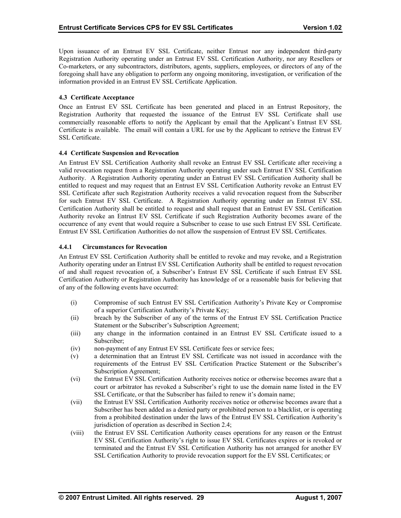<span id="page-33-0"></span>Upon issuance of an Entrust EV SSL Certificate, neither Entrust nor any independent third-party Registration Authority operating under an Entrust EV SSL Certification Authority, nor any Resellers or Co-marketers, or any subcontractors, distributors, agents, suppliers, employees, or directors of any of the foregoing shall have any obligation to perform any ongoing monitoring, investigation, or verification of the information provided in an Entrust EV SSL Certificate Application.

# **4.3 Certificate Acceptance**

Once an Entrust EV SSL Certificate has been generated and placed in an Entrust Repository, the Registration Authority that requested the issuance of the Entrust EV SSL Certificate shall use commercially reasonable efforts to notify the Applicant by email that the Applicant's Entrust EV SSL Certificate is available. The email will contain a URL for use by the Applicant to retrieve the Entrust EV SSL Certificate.

# **4.4 Certificate Suspension and Revocation**

An Entrust EV SSL Certification Authority shall revoke an Entrust EV SSL Certificate after receiving a valid revocation request from a Registration Authority operating under such Entrust EV SSL Certification Authority. A Registration Authority operating under an Entrust EV SSL Certification Authority shall be entitled to request and may request that an Entrust EV SSL Certification Authority revoke an Entrust EV SSL Certificate after such Registration Authority receives a valid revocation request from the Subscriber for such Entrust EV SSL Certificate. A Registration Authority operating under an Entrust EV SSL Certification Authority shall be entitled to request and shall request that an Entrust EV SSL Certification Authority revoke an Entrust EV SSL Certificate if such Registration Authority becomes aware of the occurrence of any event that would require a Subscriber to cease to use such Entrust EV SSL Certificate. Entrust EV SSL Certification Authorities do not allow the suspension of Entrust EV SSL Certificates.

# **4.4.1 Circumstances for Revocation**

An Entrust EV SSL Certification Authority shall be entitled to revoke and may revoke, and a Registration Authority operating under an Entrust EV SSL Certification Authority shall be entitled to request revocation of and shall request revocation of, a Subscriber's Entrust EV SSL Certificate if such Entrust EV SSL Certification Authority or Registration Authority has knowledge of or a reasonable basis for believing that of any of the following events have occurred:

- (i) Compromise of such Entrust EV SSL Certification Authority's Private Key or Compromise of a superior Certification Authority's Private Key;
- (ii) breach by the Subscriber of any of the terms of the Entrust EV SSL Certification Practice Statement or the Subscriber's Subscription Agreement;
- (iii) any change in the information contained in an Entrust EV SSL Certificate issued to a Subscriber;
- (iv) non-payment of any Entrust EV SSL Certificate fees or service fees;
- (v) a determination that an Entrust EV SSL Certificate was not issued in accordance with the requirements of the Entrust EV SSL Certification Practice Statement or the Subscriber's Subscription Agreement;
- (vi) the Entrust EV SSL Certification Authority receives notice or otherwise becomes aware that a court or arbitrator has revoked a Subscriber's right to use the domain name listed in the EV SSL Certificate, or that the Subscriber has failed to renew it's domain name;
- (vii) the Entrust EV SSL Certification Authority receives notice or otherwise becomes aware that a Subscriber has been added as a denied party or prohibited person to a blacklist, or is operating from a prohibited destination under the laws of the Entrust EV SSL Certification Authority's jurisdiction of operation as described in Section 2.4;
- (viii) the Entrust EV SSL Certification Authority ceases operations for any reason or the Entrust EV SSL Certification Authority's right to issue EV SSL Certificates expires or is revoked or terminated and the Entrust EV SSL Certification Authority has not arranged for another EV SSL Certification Authority to provide revocation support for the EV SSL Certificates; or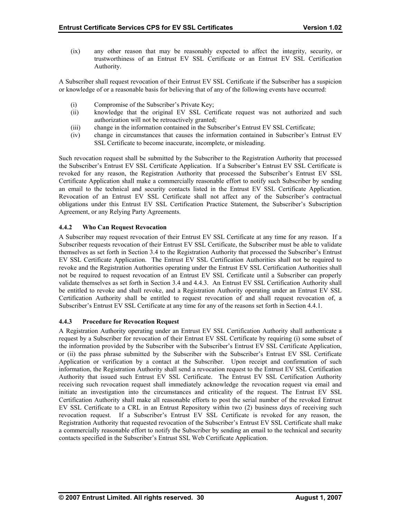<span id="page-34-0"></span>(ix) any other reason that may be reasonably expected to affect the integrity, security, or trustworthiness of an Entrust EV SSL Certificate or an Entrust EV SSL Certification Authority.

A Subscriber shall request revocation of their Entrust EV SSL Certificate if the Subscriber has a suspicion or knowledge of or a reasonable basis for believing that of any of the following events have occurred:

- (i) Compromise of the Subscriber's Private Key;
- (ii) knowledge that the original EV SSL Certificate request was not authorized and such authorization will not be retroactively granted;
- (iii) change in the information contained in the Subscriber's Entrust EV SSL Certificate;
- (iv) change in circumstances that causes the information contained in Subscriber's Entrust EV SSL Certificate to become inaccurate, incomplete, or misleading.

Such revocation request shall be submitted by the Subscriber to the Registration Authority that processed the Subscriber's Entrust EV SSL Certificate Application. If a Subscriber's Entrust EV SSL Certificate is revoked for any reason, the Registration Authority that processed the Subscriber's Entrust EV SSL Certificate Application shall make a commercially reasonable effort to notify such Subscriber by sending an email to the technical and security contacts listed in the Entrust EV SSL Certificate Application. Revocation of an Entrust EV SSL Certificate shall not affect any of the Subscriber's contractual obligations under this Entrust EV SSL Certification Practice Statement, the Subscriber's Subscription Agreement, or any Relying Party Agreements.

# **4.4.2 Who Can Request Revocation**

A Subscriber may request revocation of their Entrust EV SSL Certificate at any time for any reason. If a Subscriber requests revocation of their Entrust EV SSL Certificate, the Subscriber must be able to validate themselves as set forth in Section 3.4 to the Registration Authority that processed the Subscriber's Entrust EV SSL Certificate Application. The Entrust EV SSL Certification Authorities shall not be required to revoke and the Registration Authorities operating under the Entrust EV SSL Certification Authorities shall not be required to request revocation of an Entrust EV SSL Certificate until a Subscriber can properly validate themselves as set forth in Section 3.4 and 4.4.3. An Entrust EV SSL Certification Authority shall be entitled to revoke and shall revoke, and a Registration Authority operating under an Entrust EV SSL Certification Authority shall be entitled to request revocation of and shall request revocation of, a Subscriber's Entrust EV SSL Certificate at any time for any of the reasons set forth in Section 4.4.1.

# **4.4.3 Procedure for Revocation Request**

A Registration Authority operating under an Entrust EV SSL Certification Authority shall authenticate a request by a Subscriber for revocation of their Entrust EV SSL Certificate by requiring (i) some subset of the information provided by the Subscriber with the Subscriber's Entrust EV SSL Certificate Application, or (ii) the pass phrase submitted by the Subscriber with the Subscriber's Entrust EV SSL Certificate Application or verification by a contact at the Subscriber. Upon receipt and confirmation of such information, the Registration Authority shall send a revocation request to the Entrust EV SSL Certification Authority that issued such Entrust EV SSL Certificate. The Entrust EV SSL Certification Authority receiving such revocation request shall immediately acknowledge the revocation request via email and initiate an investigation into the circumstances and criticality of the request. The Entrust EV SSL Certification Authority shall make all reasonable efforts to post the serial number of the revoked Entrust EV SSL Certificate to a CRL in an Entrust Repository within two (2) business days of receiving such revocation request. If a Subscriber's Entrust EV SSL Certificate is revoked for any reason, the Registration Authority that requested revocation of the Subscriber's Entrust EV SSL Certificate shall make a commercially reasonable effort to notify the Subscriber by sending an email to the technical and security contacts specified in the Subscriber's Entrust SSL Web Certificate Application.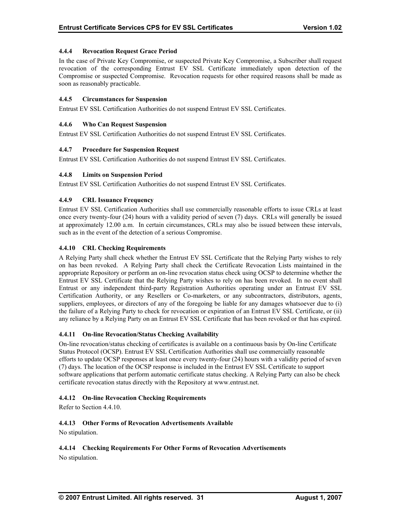# <span id="page-35-0"></span>**4.4.4 Revocation Request Grace Period**

In the case of Private Key Compromise, or suspected Private Key Compromise, a Subscriber shall request revocation of the corresponding Entrust EV SSL Certificate immediately upon detection of the Compromise or suspected Compromise. Revocation requests for other required reasons shall be made as soon as reasonably practicable.

# **4.4.5 Circumstances for Suspension**

Entrust EV SSL Certification Authorities do not suspend Entrust EV SSL Certificates.

# **4.4.6 Who Can Request Suspension**

Entrust EV SSL Certification Authorities do not suspend Entrust EV SSL Certificates.

# **4.4.7 Procedure for Suspension Request**

Entrust EV SSL Certification Authorities do not suspend Entrust EV SSL Certificates.

# **4.4.8 Limits on Suspension Period**

Entrust EV SSL Certification Authorities do not suspend Entrust EV SSL Certificates.

# **4.4.9 CRL Issuance Frequency**

Entrust EV SSL Certification Authorities shall use commercially reasonable efforts to issue CRLs at least once every twenty-four (24) hours with a validity period of seven (7) days. CRLs will generally be issued at approximately 12.00 a.m. In certain circumstances, CRLs may also be issued between these intervals, such as in the event of the detection of a serious Compromise.

# **4.4.10 CRL Checking Requirements**

A Relying Party shall check whether the Entrust EV SSL Certificate that the Relying Party wishes to rely on has been revoked. A Relying Party shall check the Certificate Revocation Lists maintained in the appropriate Repository or perform an on-line revocation status check using OCSP to determine whether the Entrust EV SSL Certificate that the Relying Party wishes to rely on has been revoked. In no event shall Entrust or any independent third-party Registration Authorities operating under an Entrust EV SSL Certification Authority, or any Resellers or Co-marketers, or any subcontractors, distributors, agents, suppliers, employees, or directors of any of the foregoing be liable for any damages whatsoever due to (i) the failure of a Relying Party to check for revocation or expiration of an Entrust EV SSL Certificate, or (ii) any reliance by a Relying Party on an Entrust EV SSL Certificate that has been revoked or that has expired.

#### **4.4.11 On-line Revocation/Status Checking Availability**

On-line revocation/status checking of certificates is available on a continuous basis by On-line Certificate Status Protocol (OCSP). Entrust EV SSL Certification Authorities shall use commercially reasonable efforts to update OCSP responses at least once every twenty-four (24) hours with a validity period of seven (7) days. The location of the OCSP response is included in the Entrust EV SSL Certificate to support software applications that perform automatic certificate status checking. A Relying Party can also be check certificate revocation status directly with the Repository at www.entrust.net.

#### **4.4.12 On-line Revocation Checking Requirements**

Refer to Section 4.4.10.

# **4.4.13 Other Forms of Revocation Advertisements Available**

No stipulation.

**4.4.14 Checking Requirements For Other Forms of Revocation Advertisements**  No stipulation.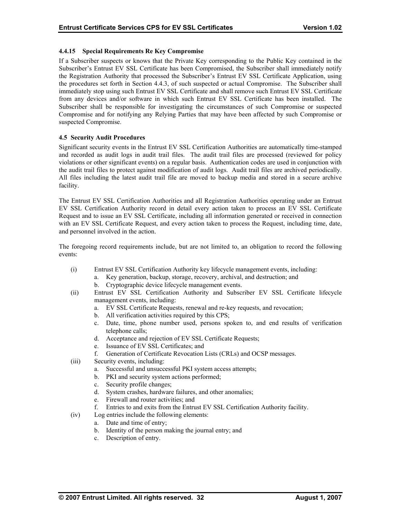# <span id="page-36-0"></span>**4.4.15 Special Requirements Re Key Compromise**

If a Subscriber suspects or knows that the Private Key corresponding to the Public Key contained in the Subscriber's Entrust EV SSL Certificate has been Compromised, the Subscriber shall immediately notify the Registration Authority that processed the Subscriber's Entrust EV SSL Certificate Application, using the procedures set forth in Section 4.4.3, of such suspected or actual Compromise. The Subscriber shall immediately stop using such Entrust EV SSL Certificate and shall remove such Entrust EV SSL Certificate from any devices and/or software in which such Entrust EV SSL Certificate has been installed. The Subscriber shall be responsible for investigating the circumstances of such Compromise or suspected Compromise and for notifying any Relying Parties that may have been affected by such Compromise or suspected Compromise.

# **4.5 Security Audit Procedures**

Significant security events in the Entrust EV SSL Certification Authorities are automatically time-stamped and recorded as audit logs in audit trail files. The audit trail files are processed (reviewed for policy violations or other significant events) on a regular basis. Authentication codes are used in conjunction with the audit trail files to protect against modification of audit logs. Audit trail files are archived periodically. All files including the latest audit trail file are moved to backup media and stored in a secure archive facility.

The Entrust EV SSL Certification Authorities and all Registration Authorities operating under an Entrust EV SSL Certification Authority record in detail every action taken to process an EV SSL Certificate Request and to issue an EV SSL Certificate, including all information generated or received in connection with an EV SSL Certificate Request, and every action taken to process the Request, including time, date, and personnel involved in the action.

The foregoing record requirements include, but are not limited to, an obligation to record the following events:

- (i) Entrust EV SSL Certification Authority key lifecycle management events, including:
	- a. Key generation, backup, storage, recovery, archival, and destruction; and
		- b. Cryptographic device lifecycle management events.
- (ii) Entrust EV SSL Certification Authority and Subscriber EV SSL Certificate lifecycle management events, including:
	- a. EV SSL Certificate Requests, renewal and re-key requests, and revocation;
	- b. All verification activities required by this CPS;
	- c. Date, time, phone number used, persons spoken to, and end results of verification telephone calls;
	- d. Acceptance and rejection of EV SSL Certificate Requests;
	- e. Issuance of EV SSL Certificates; and
	- f. Generation of Certificate Revocation Lists (CRLs) and OCSP messages.
- (iii) Security events, including:
	- a. Successful and unsuccessful PKI system access attempts;
	- b. PKI and security system actions performed;
	- c. Security profile changes;
	- d. System crashes, hardware failures, and other anomalies;
	- e. Firewall and router activities; and
	- f. Entries to and exits from the Entrust EV SSL Certification Authority facility.
- (iv) Log entries include the following elements:
	- a. Date and time of entry;
	- b. Identity of the person making the journal entry; and
	- c. Description of entry.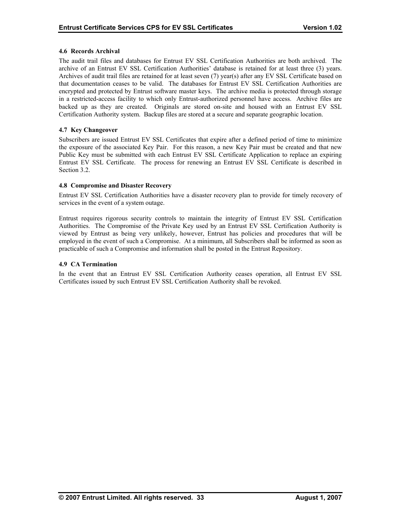# <span id="page-37-0"></span>**4.6 Records Archival**

The audit trail files and databases for Entrust EV SSL Certification Authorities are both archived. The archive of an Entrust EV SSL Certification Authorities' database is retained for at least three (3) years. Archives of audit trail files are retained for at least seven (7) year(s) after any EV SSL Certificate based on that documentation ceases to be valid. The databases for Entrust EV SSL Certification Authorities are encrypted and protected by Entrust software master keys. The archive media is protected through storage in a restricted-access facility to which only Entrust-authorized personnel have access. Archive files are backed up as they are created. Originals are stored on-site and housed with an Entrust EV SSL Certification Authority system. Backup files are stored at a secure and separate geographic location.

# **4.7 Key Changeover**

Subscribers are issued Entrust EV SSL Certificates that expire after a defined period of time to minimize the exposure of the associated Key Pair. For this reason, a new Key Pair must be created and that new Public Key must be submitted with each Entrust EV SSL Certificate Application to replace an expiring Entrust EV SSL Certificate. The process for renewing an Entrust EV SSL Certificate is described in Section 3.2.

# **4.8 Compromise and Disaster Recovery**

Entrust EV SSL Certification Authorities have a disaster recovery plan to provide for timely recovery of services in the event of a system outage.

Entrust requires rigorous security controls to maintain the integrity of Entrust EV SSL Certification Authorities. The Compromise of the Private Key used by an Entrust EV SSL Certification Authority is viewed by Entrust as being very unlikely, however, Entrust has policies and procedures that will be employed in the event of such a Compromise. At a minimum, all Subscribers shall be informed as soon as practicable of such a Compromise and information shall be posted in the Entrust Repository.

#### **4.9 CA Termination**

In the event that an Entrust EV SSL Certification Authority ceases operation, all Entrust EV SSL Certificates issued by such Entrust EV SSL Certification Authority shall be revoked.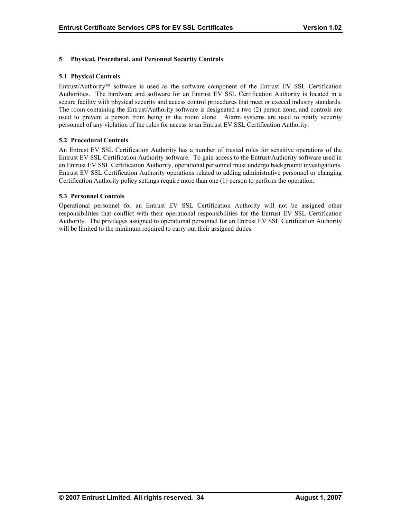# <span id="page-38-0"></span>**5 Physical, Procedural, and Personnel Security Controls**

#### **5.1 Physical Controls**

Entrust/Authority<sup>™</sup> software is used as the software component of the Entrust EV SSL Certification Authorities. The hardware and software for an Entrust EV SSL Certification Authority is located in a secure facility with physical security and access control procedures that meet or exceed industry standards. The room containing the Entrust/Authority software is designated a two (2) person zone, and controls are used to prevent a person from being in the room alone. Alarm systems are used to notify security personnel of any violation of the rules for access to an Entrust EV SSL Certification Authority.

# **5.2 Procedural Controls**

An Entrust EV SSL Certification Authority has a number of trusted roles for sensitive operations of the Entrust EV SSL Certification Authority software. To gain access to the Entrust/Authority software used in an Entrust EV SSL Certification Authority, operational personnel must undergo background investigations. Entrust EV SSL Certification Authority operations related to adding administrative personnel or changing Certification Authority policy settings require more than one (1) person to perform the operation.

#### **5.3 Personnel Controls**

Operational personnel for an Entrust EV SSL Certification Authority will not be assigned other responsibilities that conflict with their operational responsibilities for the Entrust EV SSL Certification Authority. The privileges assigned to operational personnel for an Entrust EV SSL Certification Authority will be limited to the minimum required to carry out their assigned duties.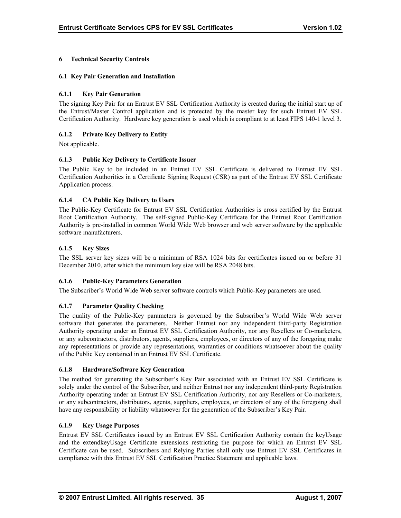# <span id="page-39-0"></span>**6 Technical Security Controls**

## **6.1 Key Pair Generation and Installation**

# **6.1.1 Key Pair Generation**

The signing Key Pair for an Entrust EV SSL Certification Authority is created during the initial start up of the Entrust/Master Control application and is protected by the master key for such Entrust EV SSL Certification Authority. Hardware key generation is used which is compliant to at least FIPS 140-1 level 3.

# **6.1.2 Private Key Delivery to Entity**

Not applicable.

# **6.1.3 Public Key Delivery to Certificate Issuer**

The Public Key to be included in an Entrust EV SSL Certificate is delivered to Entrust EV SSL Certification Authorities in a Certificate Signing Request (CSR) as part of the Entrust EV SSL Certificate Application process.

# **6.1.4 CA Public Key Delivery to Users**

The Public-Key Certificate for Entrust EV SSL Certification Authorities is cross certified by the Entrust Root Certification Authority. The self-signed Public-Key Certificate for the Entrust Root Certification Authority is pre-installed in common World Wide Web browser and web server software by the applicable software manufacturers.

# **6.1.5 Key Sizes**

The SSL server key sizes will be a minimum of RSA 1024 bits for certificates issued on or before 31 December 2010, after which the minimum key size will be RSA 2048 bits.

#### **6.1.6 Public-Key Parameters Generation**

The Subscriber's World Wide Web server software controls which Public-Key parameters are used.

#### **6.1.7 Parameter Quality Checking**

The quality of the Public-Key parameters is governed by the Subscriber's World Wide Web server software that generates the parameters. Neither Entrust nor any independent third-party Registration Authority operating under an Entrust EV SSL Certification Authority, nor any Resellers or Co-marketers, or any subcontractors, distributors, agents, suppliers, employees, or directors of any of the foregoing make any representations or provide any representations, warranties or conditions whatsoever about the quality of the Public Key contained in an Entrust EV SSL Certificate.

#### **6.1.8 Hardware/Software Key Generation**

The method for generating the Subscriber's Key Pair associated with an Entrust EV SSL Certificate is solely under the control of the Subscriber, and neither Entrust nor any independent third-party Registration Authority operating under an Entrust EV SSL Certification Authority, nor any Resellers or Co-marketers, or any subcontractors, distributors, agents, suppliers, employees, or directors of any of the foregoing shall have any responsibility or liability whatsoever for the generation of the Subscriber's Key Pair.

#### **6.1.9 Key Usage Purposes**

Entrust EV SSL Certificates issued by an Entrust EV SSL Certification Authority contain the keyUsage and the extendkeyUsage Certificate extensions restricting the purpose for which an Entrust EV SSL Certificate can be used. Subscribers and Relying Parties shall only use Entrust EV SSL Certificates in compliance with this Entrust EV SSL Certification Practice Statement and applicable laws.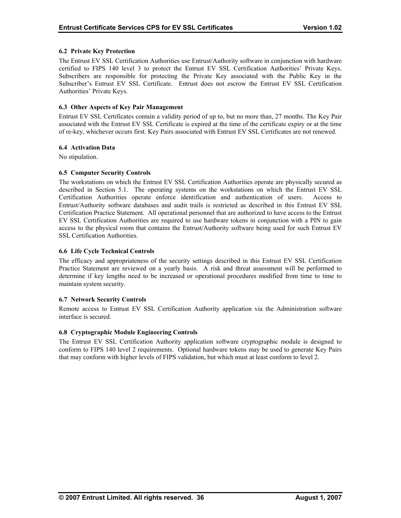# <span id="page-40-0"></span>**6.2 Private Key Protection**

The Entrust EV SSL Certification Authorities use Entrust/Authority software in conjunction with hardware certified to FIPS 140 level 3 to protect the Entrust EV SSL Certification Authorities' Private Keys. Subscribers are responsible for protecting the Private Key associated with the Public Key in the Subscriber's Entrust EV SSL Certificate. Entrust does not escrow the Entrust EV SSL Certification Authorities' Private Keys.

## **6.3 Other Aspects of Key Pair Management**

Entrust EV SSL Certificates contain a validity period of up to, but no more than, 27 months. The Key Pair associated with the Entrust EV SSL Certificate is expired at the time of the certificate expiry or at the time of re-key, whichever occurs first. Key Pairs associated with Entrust EV SSL Certificates are not renewed.

# **6.4 Activation Data**

No stipulation.

# **6.5 Computer Security Controls**

The workstations on which the Entrust EV SSL Certification Authorities operate are physically secured as described in Section 5.1. The operating systems on the workstations on which the Entrust EV SSL Certification Authorities operate enforce identification and authentication of users. Access to Entrust/Authority software databases and audit trails is restricted as described in this Entrust EV SSL Certification Practice Statement. All operational personnel that are authorized to have access to the Entrust EV SSL Certification Authorities are required to use hardware tokens in conjunction with a PIN to gain access to the physical room that contains the Entrust/Authority software being used for such Entrust EV SSL Certification Authorities.

# **6.6 Life Cycle Technical Controls**

The efficacy and appropriateness of the security settings described in this Entrust EV SSL Certification Practice Statement are reviewed on a yearly basis. A risk and threat assessment will be performed to determine if key lengths need to be increased or operational procedures modified from time to time to maintain system security.

#### **6.7 Network Security Controls**

Remote access to Entrust EV SSL Certification Authority application via the Administration software interface is secured.

#### **6.8 Cryptographic Module Engineering Controls**

The Entrust EV SSL Certification Authority application software cryptographic module is designed to conform to FIPS 140 level 2 requirements. Optional hardware tokens may be used to generate Key Pairs that may conform with higher levels of FIPS validation, but which must at least conform to level 2.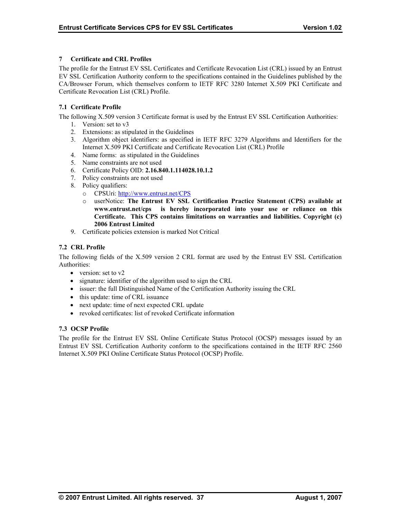# <span id="page-41-0"></span>**7 Certificate and CRL Profiles**

The profile for the Entrust EV SSL Certificates and Certificate Revocation List (CRL) issued by an Entrust EV SSL Certification Authority conform to the specifications contained in the Guidelines published by the CA/Browser Forum, which themselves conform to IETF RFC 3280 Internet X.509 PKI Certificate and Certificate Revocation List (CRL) Profile.

# **7.1 Certificate Profile**

The following X.509 version 3 Certificate format is used by the Entrust EV SSL Certification Authorities:

- 1. Version: set to v3
- 2. Extensions: as stipulated in the Guidelines
- 3. Algorithm object identifiers: as specified in IETF RFC 3279 Algorithms and Identifiers for the Internet X.509 PKI Certificate and Certificate Revocation List (CRL) Profile
- 4. Name forms: as stipulated in the Guidelines
- 5. Name constraints are not used
- 6. Certificate Policy OID: **2.16.840.1.114028.10.1.2**
- 7. Policy constraints are not used
- 8. Policy qualifiers:
	- o CPSUri:<http://www.entrust.net/CPS>
	- o userNotice: **The Entrust EV SSL Certification Practice Statement (CPS) available at www.entrust.net/cps is hereby incorporated into your use or reliance on this Certificate. This CPS contains limitations on warranties and liabilities. Copyright (c) 2006 Entrust Limited**
- 9. Certificate policies extension is marked Not Critical

# **7.2 CRL Profile**

The following fields of the X.509 version 2 CRL format are used by the Entrust EV SSL Certification Authorities:

- version: set to v2
- signature: identifier of the algorithm used to sign the CRL
- issuer: the full Distinguished Name of the Certification Authority issuing the CRL
- this update: time of CRL issuance
- next update: time of next expected CRL update
- revoked certificates: list of revoked Certificate information

# **7.3 OCSP Profile**

The profile for the Entrust EV SSL Online Certificate Status Protocol (OCSP) messages issued by an Entrust EV SSL Certification Authority conform to the specifications contained in the IETF RFC 2560 Internet X.509 PKI Online Certificate Status Protocol (OCSP) Profile.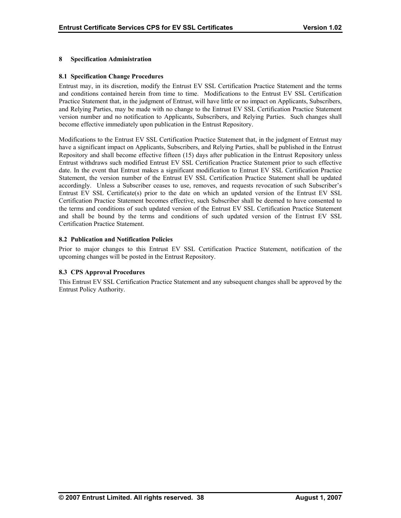# <span id="page-42-0"></span>**8 Specification Administration**

## **8.1 Specification Change Procedures**

Entrust may, in its discretion, modify the Entrust EV SSL Certification Practice Statement and the terms and conditions contained herein from time to time. Modifications to the Entrust EV SSL Certification Practice Statement that, in the judgment of Entrust, will have little or no impact on Applicants, Subscribers, and Relying Parties, may be made with no change to the Entrust EV SSL Certification Practice Statement version number and no notification to Applicants, Subscribers, and Relying Parties. Such changes shall become effective immediately upon publication in the Entrust Repository.

Modifications to the Entrust EV SSL Certification Practice Statement that, in the judgment of Entrust may have a significant impact on Applicants, Subscribers, and Relying Parties, shall be published in the Entrust Repository and shall become effective fifteen (15) days after publication in the Entrust Repository unless Entrust withdraws such modified Entrust EV SSL Certification Practice Statement prior to such effective date. In the event that Entrust makes a significant modification to Entrust EV SSL Certification Practice Statement, the version number of the Entrust EV SSL Certification Practice Statement shall be updated accordingly. Unless a Subscriber ceases to use, removes, and requests revocation of such Subscriber's Entrust EV SSL Certificate(s) prior to the date on which an updated version of the Entrust EV SSL Certification Practice Statement becomes effective, such Subscriber shall be deemed to have consented to the terms and conditions of such updated version of the Entrust EV SSL Certification Practice Statement and shall be bound by the terms and conditions of such updated version of the Entrust EV SSL Certification Practice Statement.

# **8.2 Publication and Notification Policies**

Prior to major changes to this Entrust EV SSL Certification Practice Statement, notification of the upcoming changes will be posted in the Entrust Repository.

#### **8.3 CPS Approval Procedures**

This Entrust EV SSL Certification Practice Statement and any subsequent changes shall be approved by the Entrust Policy Authority.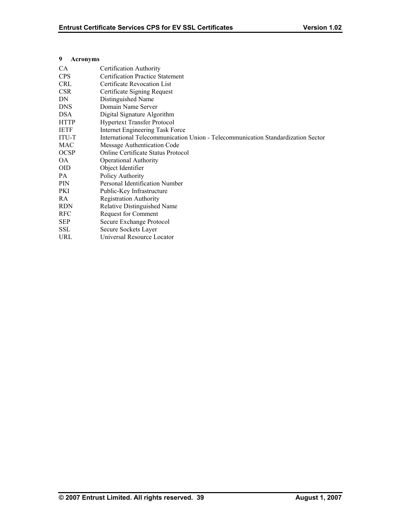# <span id="page-43-0"></span>**9 Acronyms**

| Certification Authority                                                          |
|----------------------------------------------------------------------------------|
| <b>Certification Practice Statement</b>                                          |
| Certificate Revocation List                                                      |
| Certificate Signing Request                                                      |
| Distinguished Name                                                               |
| Domain Name Server                                                               |
| Digital Signature Algorithm                                                      |
| <b>Hypertext Transfer Protocol</b>                                               |
| Internet Engineering Task Force                                                  |
| International Telecommunication Union - Telecommunication Standardization Sector |
| Message Authentication Code                                                      |
| <b>Online Certificate Status Protocol</b>                                        |
| <b>Operational Authority</b>                                                     |
| Object Identifier                                                                |
| Policy Authority                                                                 |
| Personal Identification Number                                                   |
| Public-Key Infrastructure                                                        |
| <b>Registration Authority</b>                                                    |
| Relative Distinguished Name                                                      |
| <b>Request for Comment</b>                                                       |
| Secure Exchange Protocol                                                         |
| Secure Sockets Layer                                                             |
| Universal Resource Locator                                                       |
|                                                                                  |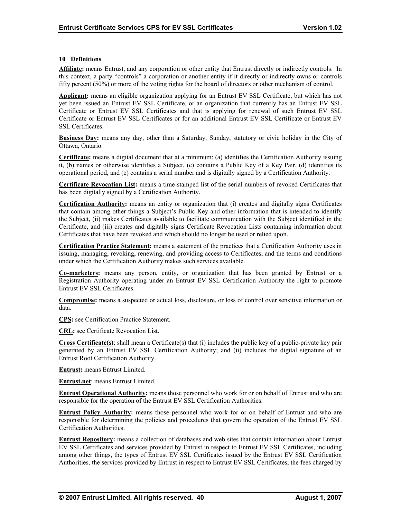## <span id="page-44-0"></span>**10 Definitions**

**Affiliate:** means Entrust, and any corporation or other entity that Entrust directly or indirectly controls. In this context, a party "controls" a corporation or another entity if it directly or indirectly owns or controls fifty percent (50%) or more of the voting rights for the board of directors or other mechanism of control.

**Applicant:** means an eligible organization applying for an Entrust EV SSL Certificate, but which has not yet been issued an Entrust EV SSL Certificate, or an organization that currently has an Entrust EV SSL Certificate or Entrust EV SSL Certificates and that is applying for renewal of such Entrust EV SSL Certificate or Entrust EV SSL Certificates or for an additional Entrust EV SSL Certificate or Entrust EV SSL Certificates.

**Business Day:** means any day, other than a Saturday, Sunday, statutory or civic holiday in the City of Ottawa, Ontario.

**Certificate:** means a digital document that at a minimum: (a) identifies the Certification Authority issuing it, (b) names or otherwise identifies a Subject, (c) contains a Public Key of a Key Pair, (d) identifies its operational period, and (e) contains a serial number and is digitally signed by a Certification Authority.

**Certificate Revocation List:** means a time-stamped list of the serial numbers of revoked Certificates that has been digitally signed by a Certification Authority.

**Certification Authority:** means an entity or organization that (i) creates and digitally signs Certificates that contain among other things a Subject's Public Key and other information that is intended to identify the Subject, (ii) makes Certificates available to facilitate communication with the Subject identified in the Certificate, and (iii) creates and digitally signs Certificate Revocation Lists containing information about Certificates that have been revoked and which should no longer be used or relied upon.

**Certification Practice Statement:** means a statement of the practices that a Certification Authority uses in issuing, managing, revoking, renewing, and providing access to Certificates, and the terms and conditions under which the Certification Authority makes such services available.

**Co-marketers:** means any person, entity, or organization that has been granted by Entrust or a Registration Authority operating under an Entrust EV SSL Certification Authority the right to promote Entrust EV SSL Certificates.

**Compromise:** means a suspected or actual loss, disclosure, or loss of control over sensitive information or data.

**CPS:** see Certification Practice Statement.

**CRL:** see Certificate Revocation List.

**Cross Certificate(s)**: shall mean a Certificate(s) that (i) includes the public key of a public-private key pair generated by an Entrust EV SSL Certification Authority; and (ii) includes the digital signature of an Entrust Root Certification Authority.

**Entrust:** means Entrust Limited.

**Entrust.net**: means Entrust Limited.

**Entrust Operational Authority:** means those personnel who work for or on behalf of Entrust and who are responsible for the operation of the Entrust EV SSL Certification Authorities.

**Entrust Policy Authority:** means those personnel who work for or on behalf of Entrust and who are responsible for determining the policies and procedures that govern the operation of the Entrust EV SSL Certification Authorities.

**Entrust Repository:** means a collection of databases and web sites that contain information about Entrust EV SSL Certificates and services provided by Entrust in respect to Entrust EV SSL Certificates, including among other things, the types of Entrust EV SSL Certificates issued by the Entrust EV SSL Certification Authorities, the services provided by Entrust in respect to Entrust EV SSL Certificates, the fees charged by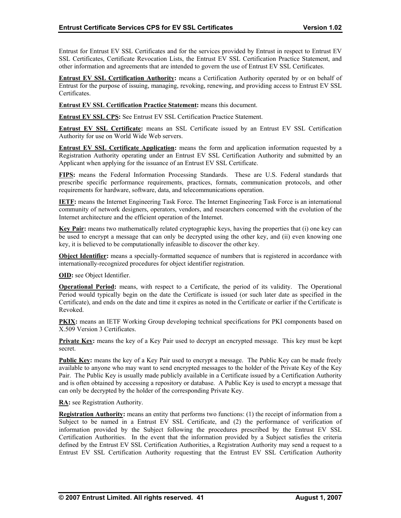Entrust for Entrust EV SSL Certificates and for the services provided by Entrust in respect to Entrust EV SSL Certificates, Certificate Revocation Lists, the Entrust EV SSL Certification Practice Statement, and other information and agreements that are intended to govern the use of Entrust EV SSL Certificates.

**Entrust EV SSL Certification Authority:** means a Certification Authority operated by or on behalf of Entrust for the purpose of issuing, managing, revoking, renewing, and providing access to Entrust EV SSL Certificates.

**Entrust EV SSL Certification Practice Statement:** means this document.

**Entrust EV SSL CPS:** See Entrust EV SSL Certification Practice Statement.

**Entrust EV SSL Certificate:** means an SSL Certificate issued by an Entrust EV SSL Certification Authority for use on World Wide Web servers.

**Entrust EV SSL Certificate Application:** means the form and application information requested by a Registration Authority operating under an Entrust EV SSL Certification Authority and submitted by an Applicant when applying for the issuance of an Entrust EV SSL Certificate.

**FIPS:** means the Federal Information Processing Standards. These are U.S. Federal standards that prescribe specific performance requirements, practices, formats, communication protocols, and other requirements for hardware, software, data, and telecommunications operation.

**IETF:** means the Internet Engineering Task Force. The Internet Engineering Task Force is an international community of network designers, operators, vendors, and researchers concerned with the evolution of the Internet architecture and the efficient operation of the Internet.

**Key Pair:** means two mathematically related cryptographic keys, having the properties that (i) one key can be used to encrypt a message that can only be decrypted using the other key, and (ii) even knowing one key, it is believed to be computationally infeasible to discover the other key.

**Object Identifier:** means a specially-formatted sequence of numbers that is registered in accordance with internationally-recognized procedures for object identifier registration.

**OID:** see Object Identifier.

**Operational Period:** means, with respect to a Certificate, the period of its validity. The Operational Period would typically begin on the date the Certificate is issued (or such later date as specified in the Certificate), and ends on the date and time it expires as noted in the Certificate or earlier if the Certificate is Revoked.

**PKIX:** means an IETF Working Group developing technical specifications for PKI components based on X.509 Version 3 Certificates.

**Private Key:** means the key of a Key Pair used to decrypt an encrypted message. This key must be kept secret.

**Public Key:** means the key of a Key Pair used to encrypt a message. The Public Key can be made freely available to anyone who may want to send encrypted messages to the holder of the Private Key of the Key Pair. The Public Key is usually made publicly available in a Certificate issued by a Certification Authority and is often obtained by accessing a repository or database. A Public Key is used to encrypt a message that can only be decrypted by the holder of the corresponding Private Key.

**RA:** see Registration Authority.

**Registration Authority:** means an entity that performs two functions: (1) the receipt of information from a Subject to be named in a Entrust EV SSL Certificate, and (2) the performance of verification of information provided by the Subject following the procedures prescribed by the Entrust EV SSL Certification Authorities. In the event that the information provided by a Subject satisfies the criteria defined by the Entrust EV SSL Certification Authorities, a Registration Authority may send a request to a Entrust EV SSL Certification Authority requesting that the Entrust EV SSL Certification Authority